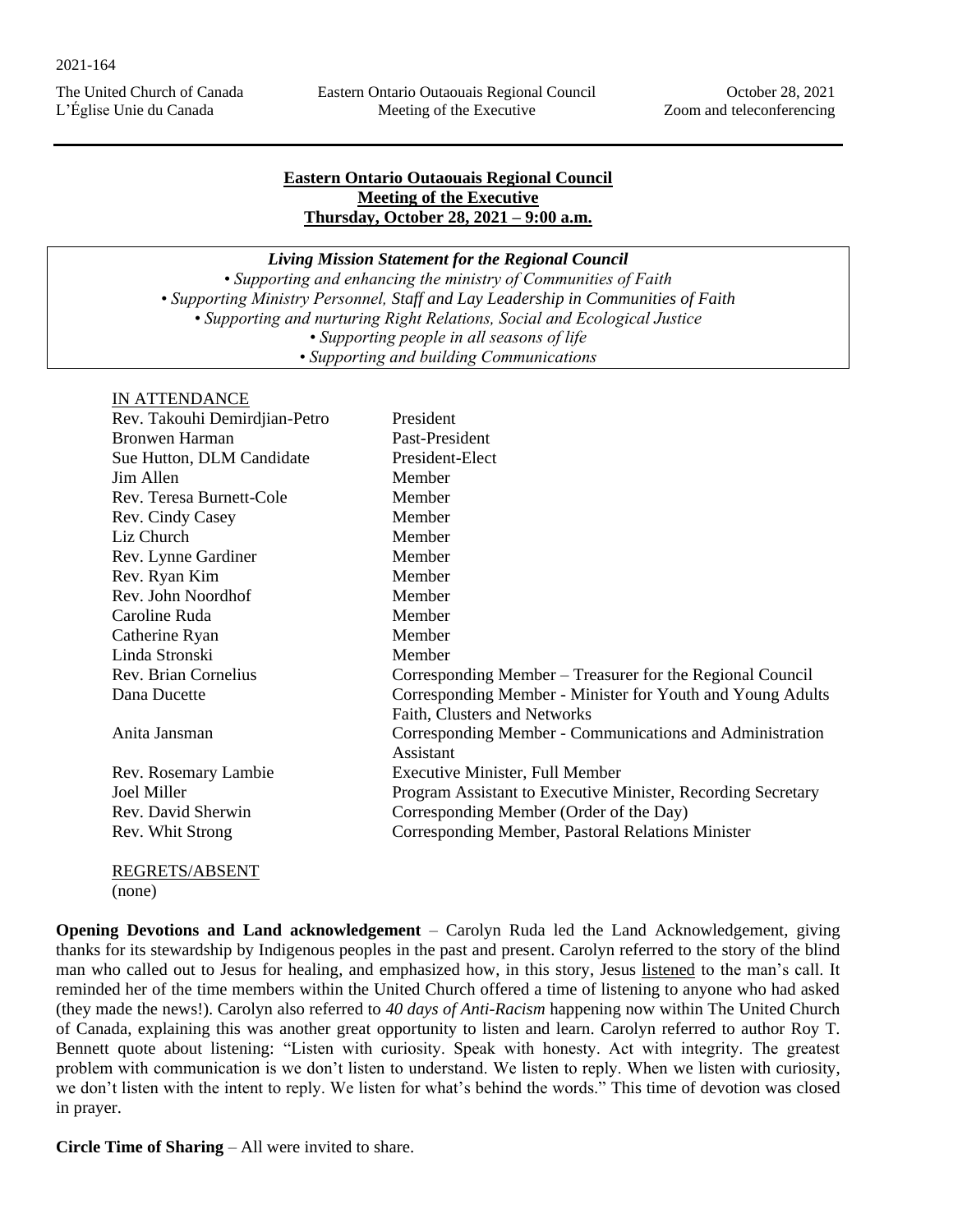Eastern Ontario Outaouais Regional Council Meeting of the Executive

## **Eastern Ontario Outaouais Regional Council Meeting of the Executive Thursday, October 28, 2021 – 9:00 a.m.**

*Living Mission Statement for the Regional Council • Supporting and enhancing the ministry of Communities of Faith • Supporting Ministry Personnel, Staff and Lay Leadership in Communities of Faith • Supporting and nurturing Right Relations, Social and Ecological Justice • Supporting people in all seasons of life • Supporting and building Communications*

## IN ATTENDANCE

| Rev. Takouhi Demirdjian-Petro | President                                                    |
|-------------------------------|--------------------------------------------------------------|
| <b>Bronwen Harman</b>         | Past-President                                               |
| Sue Hutton, DLM Candidate     | President-Elect                                              |
| Jim Allen                     | Member                                                       |
| Rev. Teresa Burnett-Cole      | Member                                                       |
| Rev. Cindy Casey              | Member                                                       |
| Liz Church                    | Member                                                       |
| Rev. Lynne Gardiner           | Member                                                       |
| Rev. Ryan Kim                 | Member                                                       |
| Rev. John Noordhof            | Member                                                       |
| Caroline Ruda                 | Member                                                       |
| Catherine Ryan                | Member                                                       |
| Linda Stronski                | Member                                                       |
| Rev. Brian Cornelius          | Corresponding Member – Treasurer for the Regional Council    |
| Dana Ducette                  | Corresponding Member - Minister for Youth and Young Adults   |
|                               | Faith, Clusters and Networks                                 |
| Anita Jansman                 | Corresponding Member - Communications and Administration     |
|                               | Assistant                                                    |
| Rev. Rosemary Lambie          | <b>Executive Minister, Full Member</b>                       |
| Joel Miller                   | Program Assistant to Executive Minister, Recording Secretary |
| Rev. David Sherwin            | Corresponding Member (Order of the Day)                      |
| Rev. Whit Strong              | Corresponding Member, Pastoral Relations Minister            |
|                               |                                                              |
| REGRETS/ABSENT                |                                                              |

(none)

**Opening Devotions and Land acknowledgement** – Carolyn Ruda led the Land Acknowledgement, giving thanks for its stewardship by Indigenous peoples in the past and present. Carolyn referred to the story of the blind man who called out to Jesus for healing, and emphasized how, in this story, Jesus listened to the man's call. It reminded her of the time members within the United Church offered a time of listening to anyone who had asked (they made the news!). Carolyn also referred to *40 days of Anti-Racism* happening now within The United Church of Canada, explaining this was another great opportunity to listen and learn. Carolyn referred to author Roy T. Bennett quote about listening: "Listen with curiosity. Speak with honesty. Act with integrity. The greatest problem with communication is we don't listen to understand. We listen to reply. When we listen with curiosity, we don't listen with the intent to reply. We listen for what's behind the words." This time of devotion was closed in prayer.

**Circle Time of Sharing** – All were invited to share.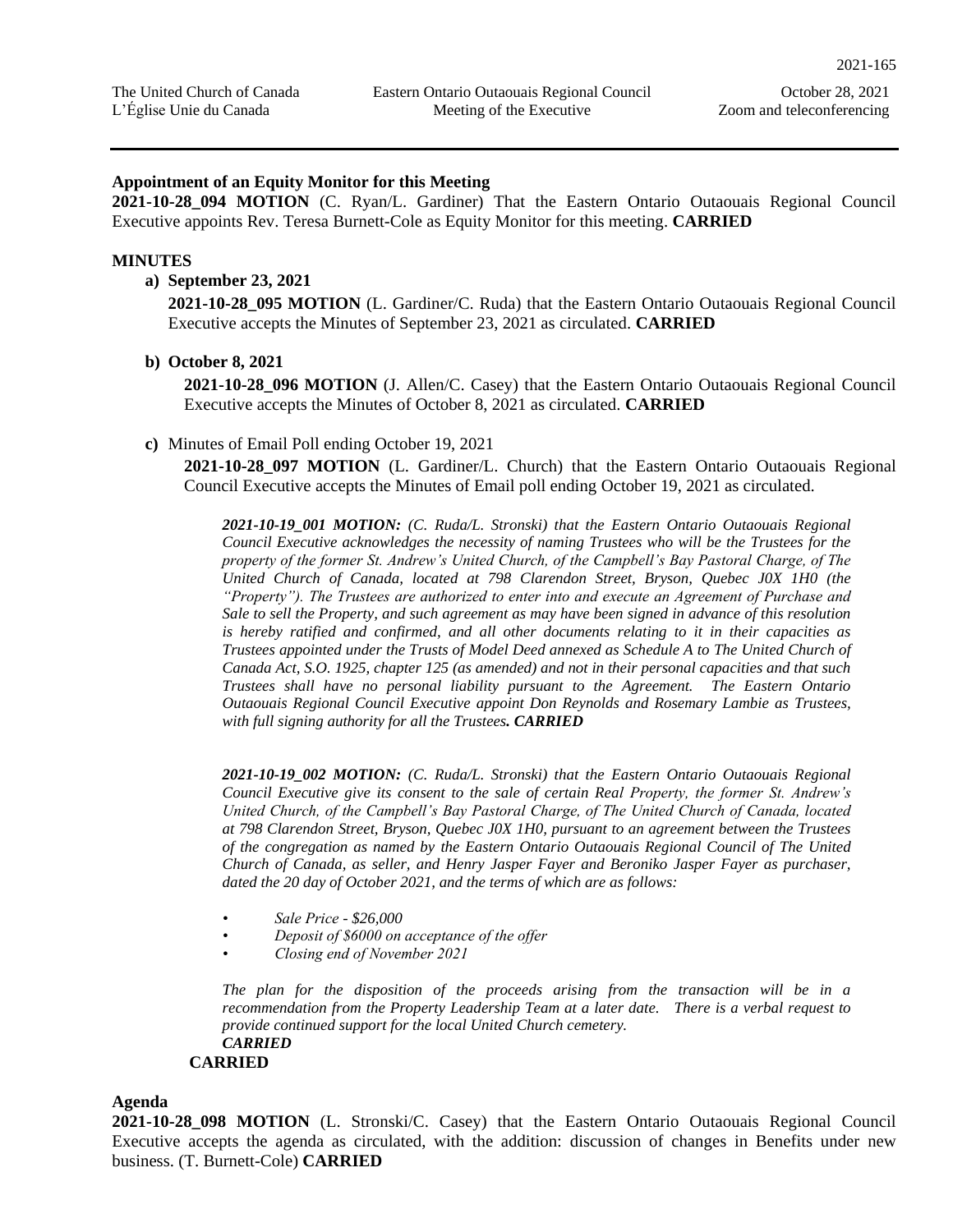#### **Appointment of an Equity Monitor for this Meeting**

**2021-10-28\_094 MOTION** (C. Ryan/L. Gardiner) That the Eastern Ontario Outaouais Regional Council Executive appoints Rev. Teresa Burnett-Cole as Equity Monitor for this meeting. **CARRIED**

#### **MINUTES**

#### **a) September 23, 2021**

**2021-10-28\_095 MOTION** (L. Gardiner/C. Ruda) that the Eastern Ontario Outaouais Regional Council Executive accepts the Minutes of September 23, 2021 as circulated. **CARRIED** 

#### **b) October 8, 2021**

**2021-10-28\_096 MOTION** (J. Allen/C. Casey) that the Eastern Ontario Outaouais Regional Council Executive accepts the Minutes of October 8, 2021 as circulated. **CARRIED**

#### **c)** Minutes of Email Poll ending October 19, 2021

**2021-10-28\_097 MOTION** (L. Gardiner/L. Church) that the Eastern Ontario Outaouais Regional Council Executive accepts the Minutes of Email poll ending October 19, 2021 as circulated.

*2021-10-19\_001 MOTION: (C. Ruda/L. Stronski) that the Eastern Ontario Outaouais Regional Council Executive acknowledges the necessity of naming Trustees who will be the Trustees for the property of the former St. Andrew's United Church, of the Campbell's Bay Pastoral Charge, of The United Church of Canada, located at 798 Clarendon Street, Bryson, Quebec J0X 1H0 (the "Property"). The Trustees are authorized to enter into and execute an Agreement of Purchase and Sale to sell the Property, and such agreement as may have been signed in advance of this resolution is hereby ratified and confirmed, and all other documents relating to it in their capacities as Trustees appointed under the Trusts of Model Deed annexed as Schedule A to The United Church of Canada Act, S.O. 1925, chapter 125 (as amended) and not in their personal capacities and that such Trustees shall have no personal liability pursuant to the Agreement. The Eastern Ontario Outaouais Regional Council Executive appoint Don Reynolds and Rosemary Lambie as Trustees, with full signing authority for all the Trustees. CARRIED*

*2021-10-19\_002 MOTION: (C. Ruda/L. Stronski) that the Eastern Ontario Outaouais Regional Council Executive give its consent to the sale of certain Real Property, the former St. Andrew's United Church, of the Campbell's Bay Pastoral Charge, of The United Church of Canada, located at 798 Clarendon Street, Bryson, Quebec J0X 1H0, pursuant to an agreement between the Trustees of the congregation as named by the Eastern Ontario Outaouais Regional Council of The United Church of Canada, as seller, and Henry Jasper Fayer and Beroniko Jasper Fayer as purchaser, dated the 20 day of October 2021, and the terms of which are as follows:*

- *Sale Price - \$26,000*
- *Deposit of \$6000 on acceptance of the offer*
- *Closing end of November 2021*

*The plan for the disposition of the proceeds arising from the transaction will be in a recommendation from the Property Leadership Team at a later date. There is a verbal request to provide continued support for the local United Church cemetery. CARRIED*

# **CARRIED**

#### **Agenda**

**2021-10-28\_098 MOTION** (L. Stronski/C. Casey) that the Eastern Ontario Outaouais Regional Council Executive accepts the agenda as circulated, with the addition: discussion of changes in Benefits under new business. (T. Burnett-Cole) **CARRIED**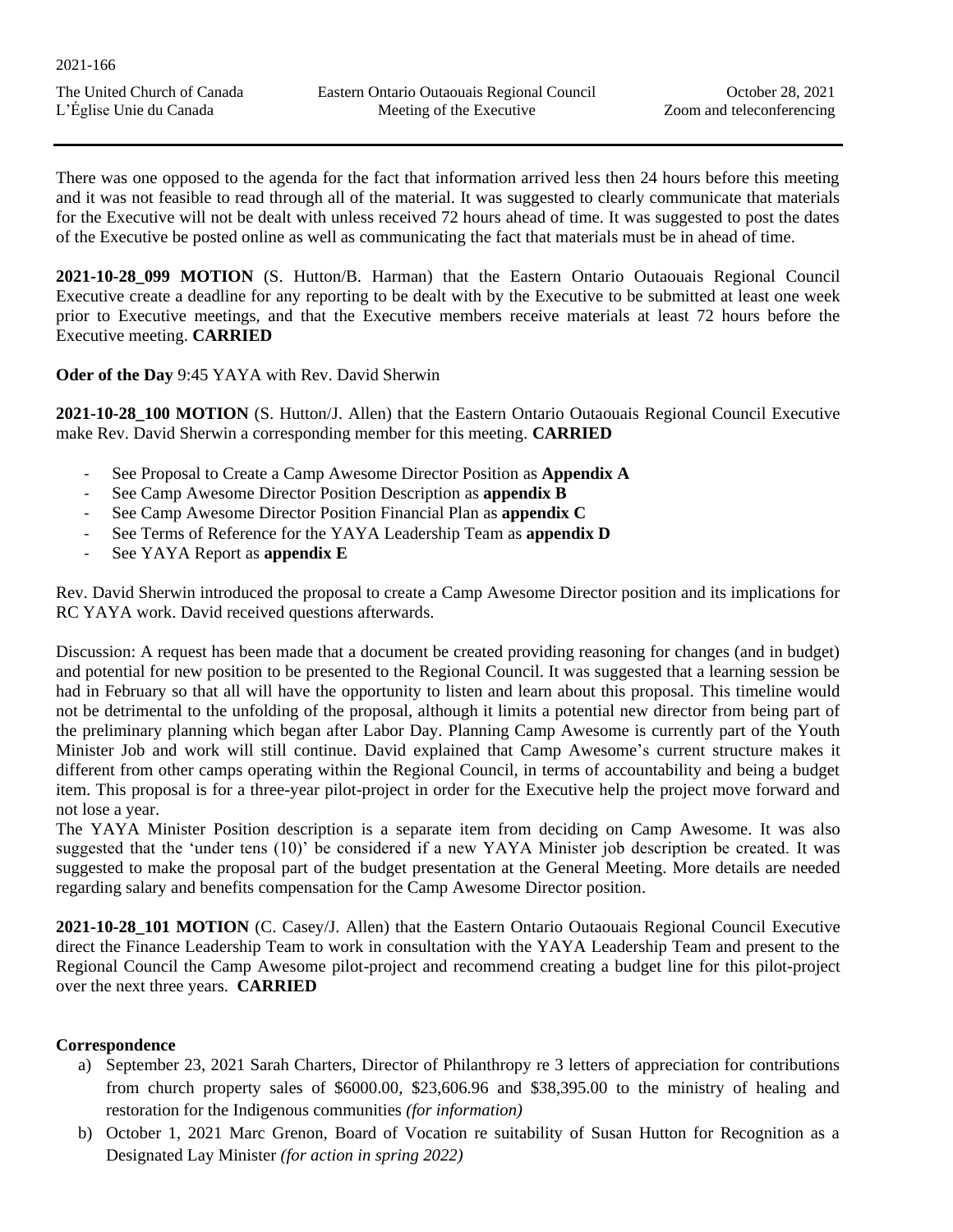| 2021-166 |
|----------|
|----------|

There was one opposed to the agenda for the fact that information arrived less then 24 hours before this meeting and it was not feasible to read through all of the material. It was suggested to clearly communicate that materials for the Executive will not be dealt with unless received 72 hours ahead of time. It was suggested to post the dates of the Executive be posted online as well as communicating the fact that materials must be in ahead of time.

**2021-10-28\_099 MOTION** (S. Hutton/B. Harman) that the Eastern Ontario Outaouais Regional Council Executive create a deadline for any reporting to be dealt with by the Executive to be submitted at least one week prior to Executive meetings, and that the Executive members receive materials at least 72 hours before the Executive meeting. **CARRIED**

**Oder of the Day** 9:45 YAYA with Rev. David Sherwin

**2021-10-28\_100 MOTION** (S. Hutton/J. Allen) that the Eastern Ontario Outaouais Regional Council Executive make Rev. David Sherwin a corresponding member for this meeting. **CARRIED** 

- See Proposal to Create a Camp Awesome Director Position as **Appendix A**
- See Camp Awesome Director Position Description as **appendix B**
- See Camp Awesome Director Position Financial Plan as **appendix C**
- See Terms of Reference for the YAYA Leadership Team as **appendix D**
- See YAYA Report as **appendix E**

Rev. David Sherwin introduced the proposal to create a Camp Awesome Director position and its implications for RC YAYA work. David received questions afterwards.

Discussion: A request has been made that a document be created providing reasoning for changes (and in budget) and potential for new position to be presented to the Regional Council. It was suggested that a learning session be had in February so that all will have the opportunity to listen and learn about this proposal. This timeline would not be detrimental to the unfolding of the proposal, although it limits a potential new director from being part of the preliminary planning which began after Labor Day. Planning Camp Awesome is currently part of the Youth Minister Job and work will still continue. David explained that Camp Awesome's current structure makes it different from other camps operating within the Regional Council, in terms of accountability and being a budget item. This proposal is for a three-year pilot-project in order for the Executive help the project move forward and not lose a year.

The YAYA Minister Position description is a separate item from deciding on Camp Awesome. It was also suggested that the 'under tens (10)' be considered if a new YAYA Minister job description be created. It was suggested to make the proposal part of the budget presentation at the General Meeting. More details are needed regarding salary and benefits compensation for the Camp Awesome Director position.

**2021-10-28\_101 MOTION** (C. Casey/J. Allen) that the Eastern Ontario Outaouais Regional Council Executive direct the Finance Leadership Team to work in consultation with the YAYA Leadership Team and present to the Regional Council the Camp Awesome pilot-project and recommend creating a budget line for this pilot-project over the next three years. **CARRIED**

## **Correspondence**

- a) September 23, 2021 Sarah Charters, Director of Philanthropy re 3 letters of appreciation for contributions from church property sales of \$6000.00, \$23,606.96 and \$38,395.00 to the ministry of healing and restoration for the Indigenous communities *(for information)*
- b) October 1, 2021 Marc Grenon, Board of Vocation re suitability of Susan Hutton for Recognition as a Designated Lay Minister *(for action in spring 2022)*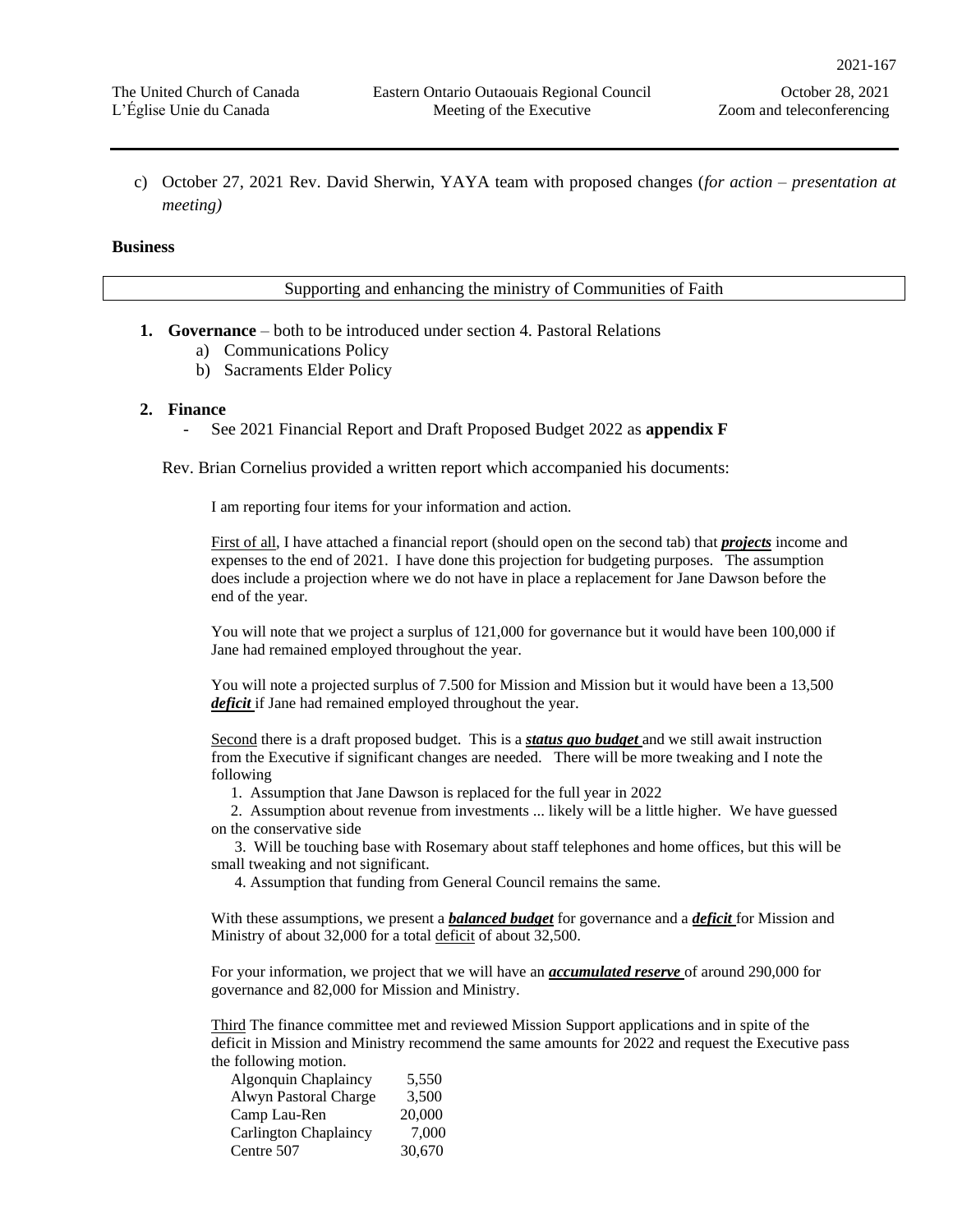c) October 27, 2021 Rev. David Sherwin, YAYA team with proposed changes (*for action – presentation at meeting)*

#### **Business**

Supporting and enhancing the ministry of Communities of Faith

- **1. Governance** both to be introduced under section 4. Pastoral Relations
	- a) Communications Policy
	- b) Sacraments Elder Policy

#### **2. Finance**

- See 2021 Financial Report and Draft Proposed Budget 2022 as **appendix F**

Rev. Brian Cornelius provided a written report which accompanied his documents:

I am reporting four items for your information and action.

First of all, I have attached a financial report (should open on the second tab) that *projects* income and expenses to the end of 2021. I have done this projection for budgeting purposes. The assumption does include a projection where we do not have in place a replacement for Jane Dawson before the end of the year.

You will note that we project a surplus of 121,000 for governance but it would have been 100,000 if Jane had remained employed throughout the year.

You will note a projected surplus of 7.500 for Mission and Mission but it would have been a 13,500 *deficit* if Jane had remained employed throughout the year.

Second there is a draft proposed budget. This is a *status quo budget* and we still await instruction from the Executive if significant changes are needed. There will be more tweaking and I note the following

1. Assumption that Jane Dawson is replaced for the full year in 2022

2. Assumption about revenue from investments ... likely will be a little higher. We have guessed on the conservative side

3. Will be touching base with Rosemary about staff telephones and home offices, but this will be small tweaking and not significant.

4. Assumption that funding from General Council remains the same.

With these assumptions, we present a *balanced budget* for governance and a *deficit* for Mission and Ministry of about 32,000 for a total deficit of about 32,500.

For your information, we project that we will have an *accumulated reserve* of around 290,000 for governance and 82,000 for Mission and Ministry.

Third The finance committee met and reviewed Mission Support applications and in spite of the deficit in Mission and Ministry recommend the same amounts for 2022 and request the Executive pass the following motion.

| <b>Algonquin Chaplaincy</b>  | 5.550  |
|------------------------------|--------|
| Alwyn Pastoral Charge        | 3.500  |
| Camp Lau-Ren                 | 20,000 |
| <b>Carlington Chaplaincy</b> | 7.000  |
| Centre 507                   | 30,670 |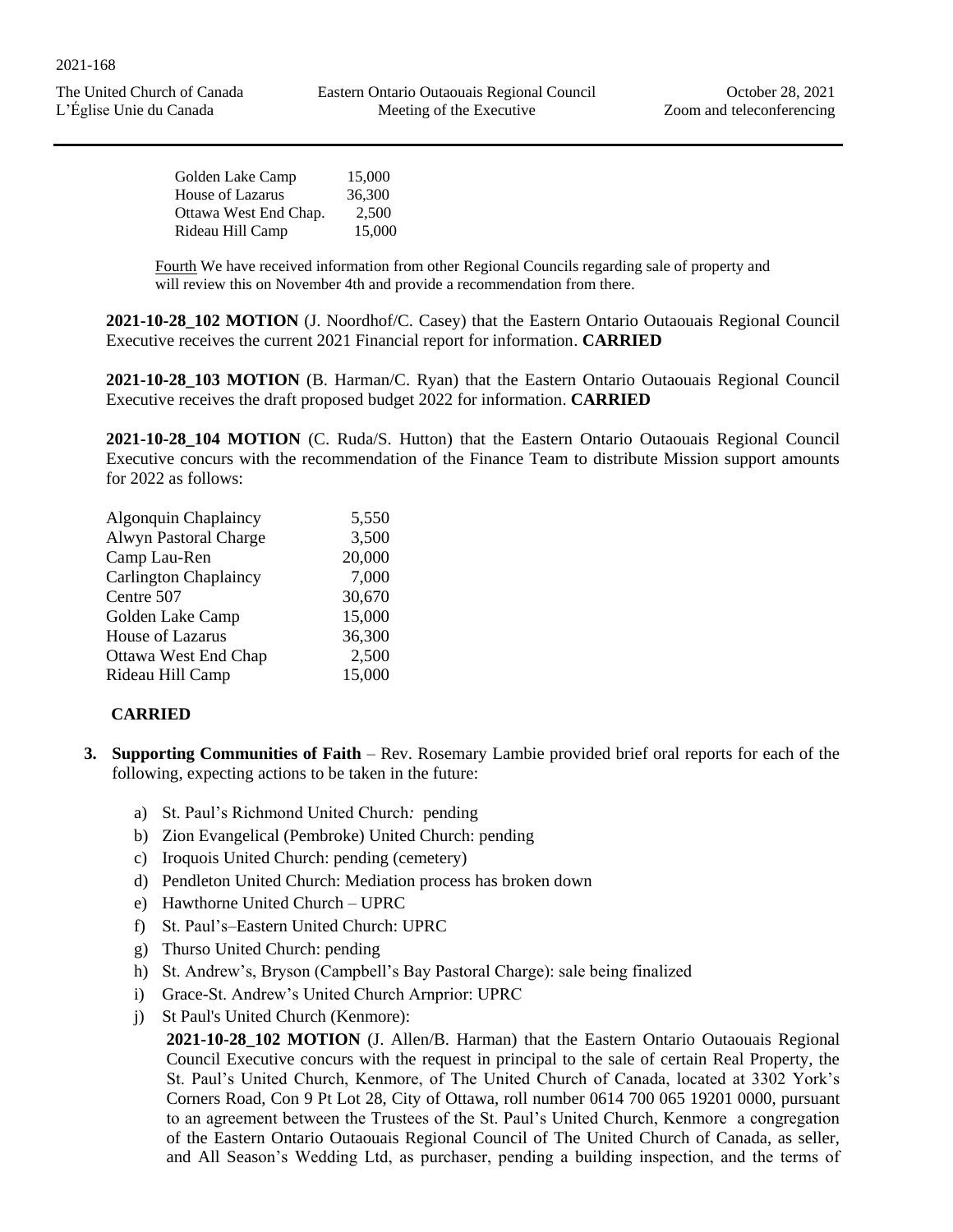| 15,000 |
|--------|
| 36,300 |
| 2.500  |
| 15,000 |
|        |

Fourth We have received information from other Regional Councils regarding sale of property and will review this on November 4th and provide a recommendation from there.

**2021-10-28\_102 MOTION** (J. Noordhof/C. Casey) that the Eastern Ontario Outaouais Regional Council Executive receives the current 2021 Financial report for information. **CARRIED** 

**2021-10-28\_103 MOTION** (B. Harman/C. Ryan) that the Eastern Ontario Outaouais Regional Council Executive receives the draft proposed budget 2022 for information. **CARRIED**

**2021-10-28\_104 MOTION** (C. Ruda/S. Hutton) that the Eastern Ontario Outaouais Regional Council Executive concurs with the recommendation of the Finance Team to distribute Mission support amounts for 2022 as follows:

| Algonquin Chaplaincy         | 5,550  |
|------------------------------|--------|
| Alwyn Pastoral Charge        | 3,500  |
| Camp Lau-Ren                 | 20,000 |
| <b>Carlington Chaplaincy</b> | 7,000  |
| Centre 507                   | 30,670 |
| Golden Lake Camp             | 15,000 |
| House of Lazarus             | 36,300 |
| <b>Ottawa West End Chap</b>  | 2,500  |
| Rideau Hill Camp             | 15,000 |
|                              |        |

## **CARRIED**

- **3. Supporting Communities of Faith** Rev. Rosemary Lambie provided brief oral reports for each of the following, expecting actions to be taken in the future:
	- a) St. Paul's Richmond United Church*:* pending
	- b) Zion Evangelical (Pembroke) United Church: pending
	- c) Iroquois United Church: pending (cemetery)
	- d) Pendleton United Church: Mediation process has broken down
	- e) Hawthorne United Church UPRC
	- f) St. Paul's–Eastern United Church: UPRC
	- g) Thurso United Church: pending
	- h) St. Andrew's, Bryson (Campbell's Bay Pastoral Charge): sale being finalized
	- i) Grace-St. Andrew's United Church Arnprior: UPRC
	- j) St Paul's United Church (Kenmore):

**2021-10-28\_102 MOTION** (J. Allen/B. Harman) that the Eastern Ontario Outaouais Regional Council Executive concurs with the request in principal to the sale of certain Real Property, the St. Paul's United Church, Kenmore, of The United Church of Canada, located at 3302 York's Corners Road, Con 9 Pt Lot 28, City of Ottawa, roll number 0614 700 065 19201 0000, pursuant to an agreement between the Trustees of the St. Paul's United Church, Kenmore a congregation of the Eastern Ontario Outaouais Regional Council of The United Church of Canada, as seller, and All Season's Wedding Ltd, as purchaser, pending a building inspection, and the terms of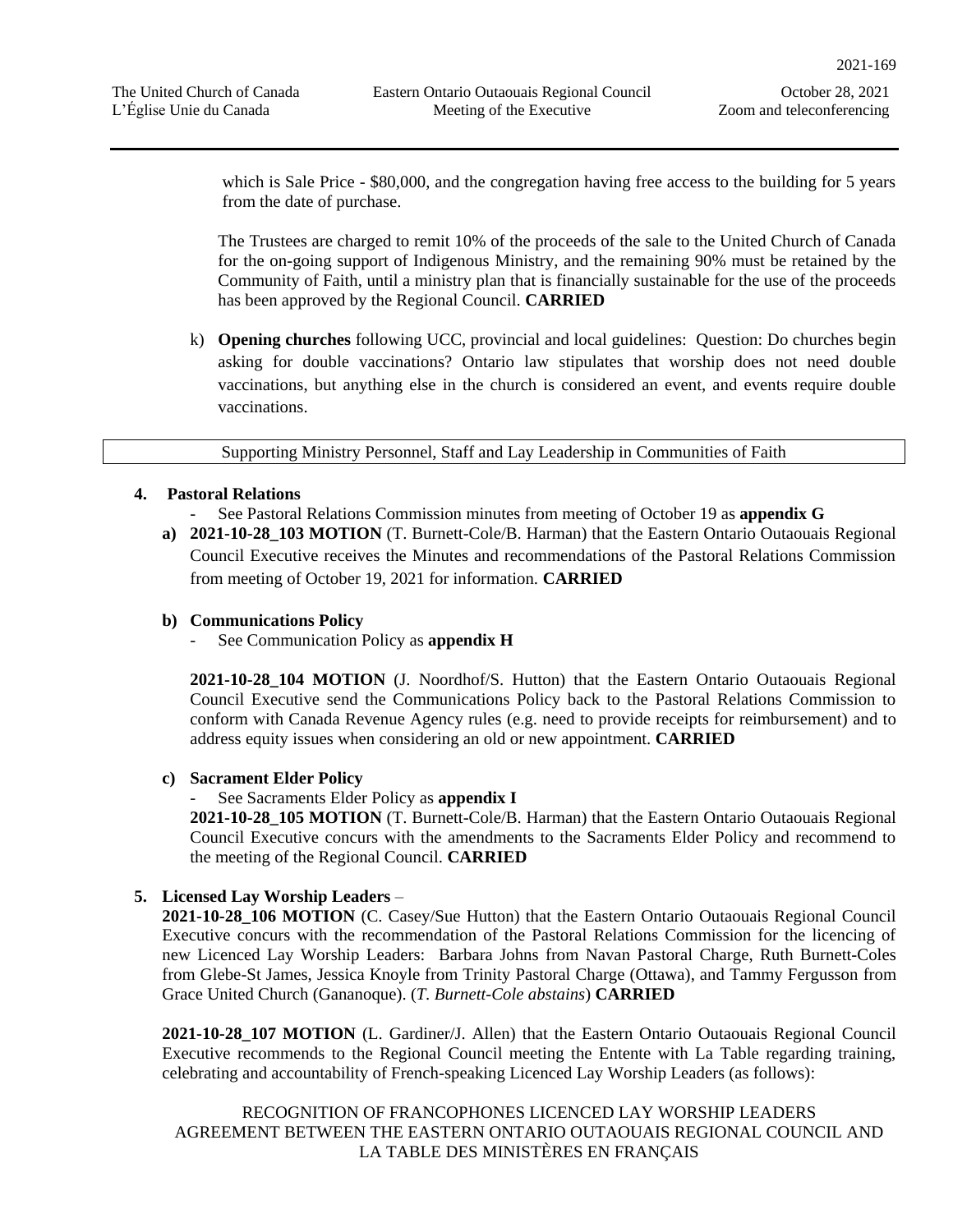which is Sale Price - \$80,000, and the congregation having free access to the building for 5 years from the date of purchase.

The Trustees are charged to remit 10% of the proceeds of the sale to the United Church of Canada for the on-going support of Indigenous Ministry, and the remaining 90% must be retained by the Community of Faith, until a ministry plan that is financially sustainable for the use of the proceeds has been approved by the Regional Council. **CARRIED**

k) **Opening churches** following UCC, provincial and local guidelines: Question: Do churches begin asking for double vaccinations? Ontario law stipulates that worship does not need double vaccinations, but anything else in the church is considered an event, and events require double vaccinations.

Supporting Ministry Personnel, Staff and Lay Leadership in Communities of Faith

## **4. Pastoral Relations**

- See Pastoral Relations Commission minutes from meeting of October 19 as **appendix G**
- **a) 2021-10-28\_103 MOTION** (T. Burnett-Cole/B. Harman) that the Eastern Ontario Outaouais Regional Council Executive receives the Minutes and recommendations of the Pastoral Relations Commission from meeting of October 19, 2021 for information. **CARRIED**

## **b) Communications Policy**

- See Communication Policy as **appendix H**

**2021-10-28\_104 MOTION** (J. Noordhof/S. Hutton) that the Eastern Ontario Outaouais Regional Council Executive send the Communications Policy back to the Pastoral Relations Commission to conform with Canada Revenue Agency rules (e.g. need to provide receipts for reimbursement) and to address equity issues when considering an old or new appointment. **CARRIED**

## **c) Sacrament Elder Policy**

See Sacraments Elder Policy as **appendix I** 

**2021-10-28\_105 MOTION** (T. Burnett-Cole/B. Harman) that the Eastern Ontario Outaouais Regional Council Executive concurs with the amendments to the Sacraments Elder Policy and recommend to the meeting of the Regional Council. **CARRIED**

## **5. Licensed Lay Worship Leaders** –

**2021-10-28\_106 MOTION** (C. Casey/Sue Hutton) that the Eastern Ontario Outaouais Regional Council Executive concurs with the recommendation of the Pastoral Relations Commission for the licencing of new Licenced Lay Worship Leaders: Barbara Johns from Navan Pastoral Charge, Ruth Burnett-Coles from Glebe-St James, Jessica Knoyle from Trinity Pastoral Charge (Ottawa), and Tammy Fergusson from Grace United Church (Gananoque). (*T. Burnett-Cole abstains*) **CARRIED**

**2021-10-28\_107 MOTION** (L. Gardiner/J. Allen) that the Eastern Ontario Outaouais Regional Council Executive recommends to the Regional Council meeting the Entente with La Table regarding training, celebrating and accountability of French-speaking Licenced Lay Worship Leaders (as follows):

RECOGNITION OF FRANCOPHONES LICENCED LAY WORSHIP LEADERS AGREEMENT BETWEEN THE EASTERN ONTARIO OUTAOUAIS REGIONAL COUNCIL AND LA TABLE DES MINISTÈRES EN FRANÇAIS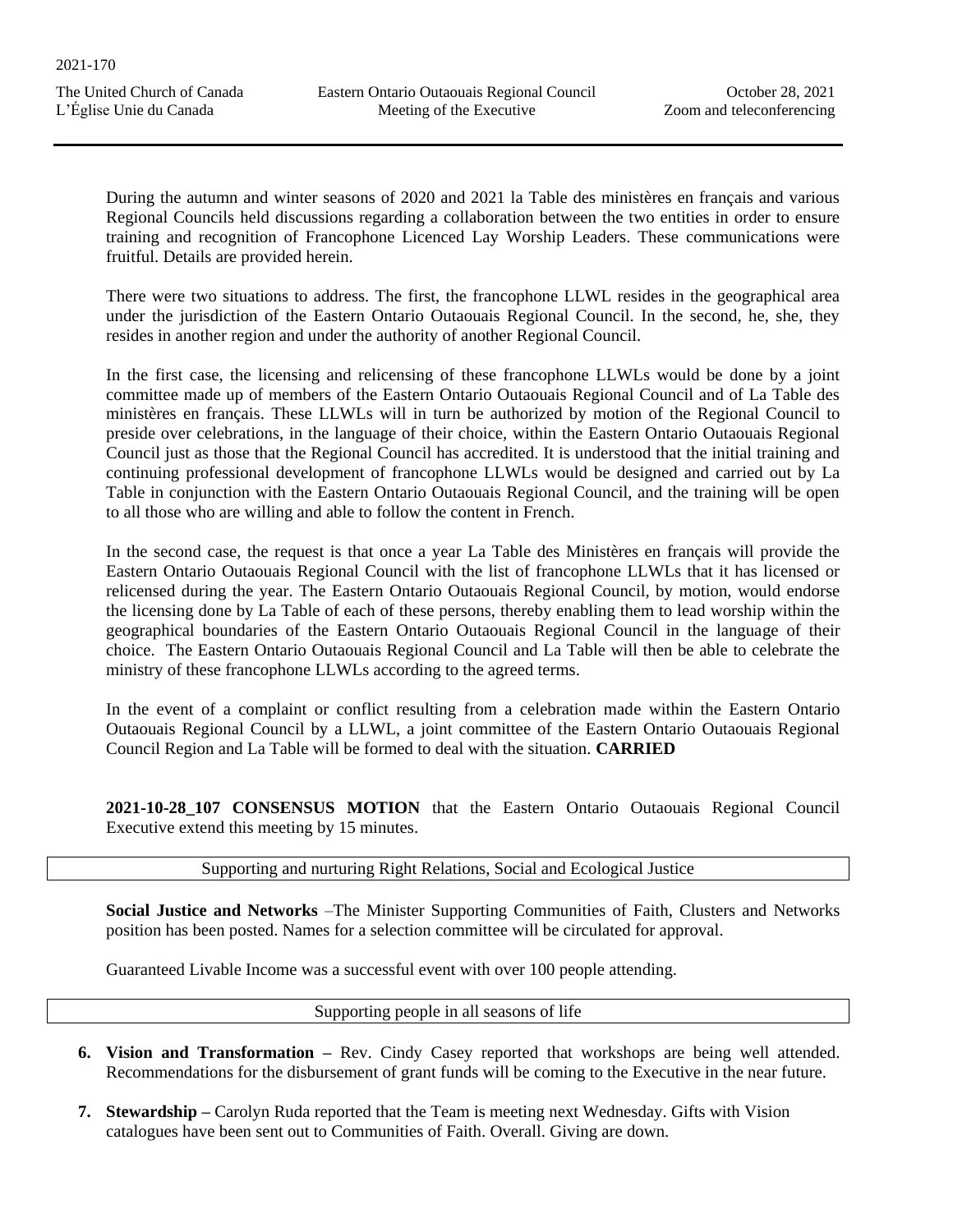During the autumn and winter seasons of 2020 and 2021 la Table des ministères en français and various Regional Councils held discussions regarding a collaboration between the two entities in order to ensure training and recognition of Francophone Licenced Lay Worship Leaders. These communications were fruitful. Details are provided herein.

There were two situations to address. The first, the francophone LLWL resides in the geographical area under the jurisdiction of the Eastern Ontario Outaouais Regional Council. In the second, he, she, they resides in another region and under the authority of another Regional Council.

In the first case, the licensing and relicensing of these francophone LLWLs would be done by a joint committee made up of members of the Eastern Ontario Outaouais Regional Council and of La Table des ministères en français. These LLWLs will in turn be authorized by motion of the Regional Council to preside over celebrations, in the language of their choice, within the Eastern Ontario Outaouais Regional Council just as those that the Regional Council has accredited. It is understood that the initial training and continuing professional development of francophone LLWLs would be designed and carried out by La Table in conjunction with the Eastern Ontario Outaouais Regional Council, and the training will be open to all those who are willing and able to follow the content in French.

In the second case, the request is that once a year La Table des Ministères en français will provide the Eastern Ontario Outaouais Regional Council with the list of francophone LLWLs that it has licensed or relicensed during the year. The Eastern Ontario Outaouais Regional Council, by motion, would endorse the licensing done by La Table of each of these persons, thereby enabling them to lead worship within the geographical boundaries of the Eastern Ontario Outaouais Regional Council in the language of their choice. The Eastern Ontario Outaouais Regional Council and La Table will then be able to celebrate the ministry of these francophone LLWLs according to the agreed terms.

In the event of a complaint or conflict resulting from a celebration made within the Eastern Ontario Outaouais Regional Council by a LLWL, a joint committee of the Eastern Ontario Outaouais Regional Council Region and La Table will be formed to deal with the situation. **CARRIED**

**2021-10-28\_107 CONSENSUS MOTION** that the Eastern Ontario Outaouais Regional Council Executive extend this meeting by 15 minutes.

Supporting and nurturing Right Relations, Social and Ecological Justice

**Social Justice and Networks** –The Minister Supporting Communities of Faith, Clusters and Networks position has been posted. Names for a selection committee will be circulated for approval.

Guaranteed Livable Income was a successful event with over 100 people attending.

Supporting people in all seasons of life

- **6. Vision and Transformation –** Rev. Cindy Casey reported that workshops are being well attended. Recommendations for the disbursement of grant funds will be coming to the Executive in the near future.
- **7. Stewardship –** Carolyn Ruda reported that the Team is meeting next Wednesday. Gifts with Vision catalogues have been sent out to Communities of Faith. Overall. Giving are down.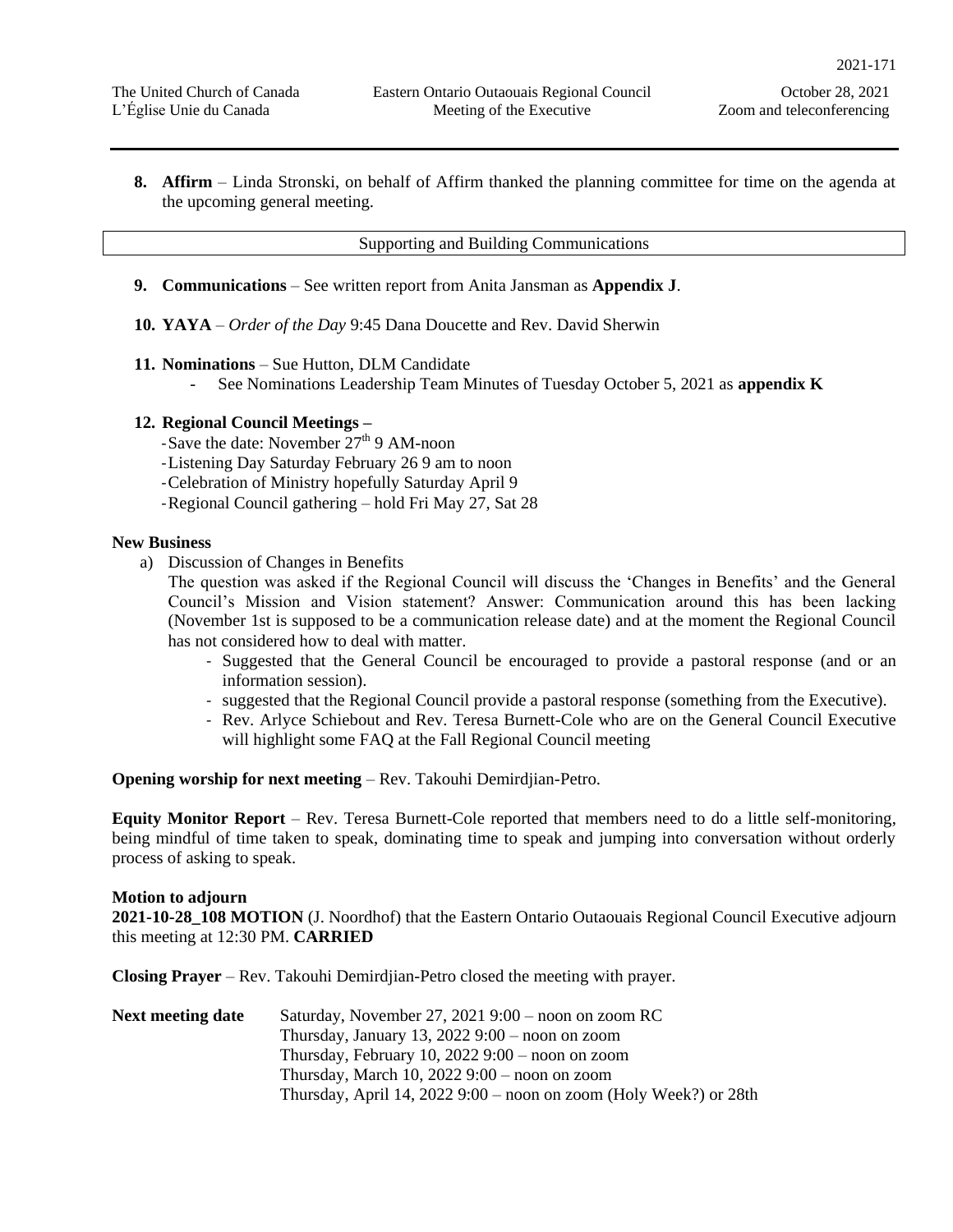**8. Affirm** – Linda Stronski, on behalf of Affirm thanked the planning committee for time on the agenda at the upcoming general meeting.

#### Supporting and Building Communications

- **9. Communications** See written report from Anita Jansman as **Appendix J**.
- **10. YAYA** *Order of the Day* 9:45 Dana Doucette and Rev. David Sherwin
- **11. Nominations** Sue Hutton, DLM Candidate
	- See Nominations Leadership Team Minutes of Tuesday October 5, 2021 as **appendix K**

## **12. Regional Council Meetings –**

-Save the date: November  $27<sup>th</sup>$  9 AM-noon

- -Listening Day Saturday February 26 9 am to noon
- -Celebration of Ministry hopefully Saturday April 9
- -Regional Council gathering hold Fri May 27, Sat 28

#### **New Business**

a) Discussion of Changes in Benefits

The question was asked if the Regional Council will discuss the 'Changes in Benefits' and the General Council's Mission and Vision statement? Answer: Communication around this has been lacking (November 1st is supposed to be a communication release date) and at the moment the Regional Council has not considered how to deal with matter.

- Suggested that the General Council be encouraged to provide a pastoral response (and or an information session).
- suggested that the Regional Council provide a pastoral response (something from the Executive).
- Rev. Arlyce Schiebout and Rev. Teresa Burnett-Cole who are on the General Council Executive will highlight some FAQ at the Fall Regional Council meeting

**Opening worship for next meeting** – Rev. Takouhi Demirdjian-Petro.

**Equity Monitor Report** – Rev. Teresa Burnett-Cole reported that members need to do a little self-monitoring, being mindful of time taken to speak, dominating time to speak and jumping into conversation without orderly process of asking to speak.

#### **Motion to adjourn**

**2021-10-28\_108 MOTION** (J. Noordhof) that the Eastern Ontario Outaouais Regional Council Executive adjourn this meeting at 12:30 PM. **CARRIED**

**Closing Prayer** – Rev. Takouhi Demirdjian-Petro closed the meeting with prayer.

| <b>Next meeting date</b> | Saturday, November 27, 2021 $9:00$ – noon on zoom RC              |
|--------------------------|-------------------------------------------------------------------|
|                          | Thursday, January 13, $20229:00$ – noon on zoom                   |
|                          | Thursday, February 10, 2022 $9:00$ – noon on zoom                 |
|                          | Thursday, March 10, $20229:00$ – noon on zoom                     |
|                          | Thursday, April 14, 2022 9:00 – noon on zoom (Holy Week?) or 28th |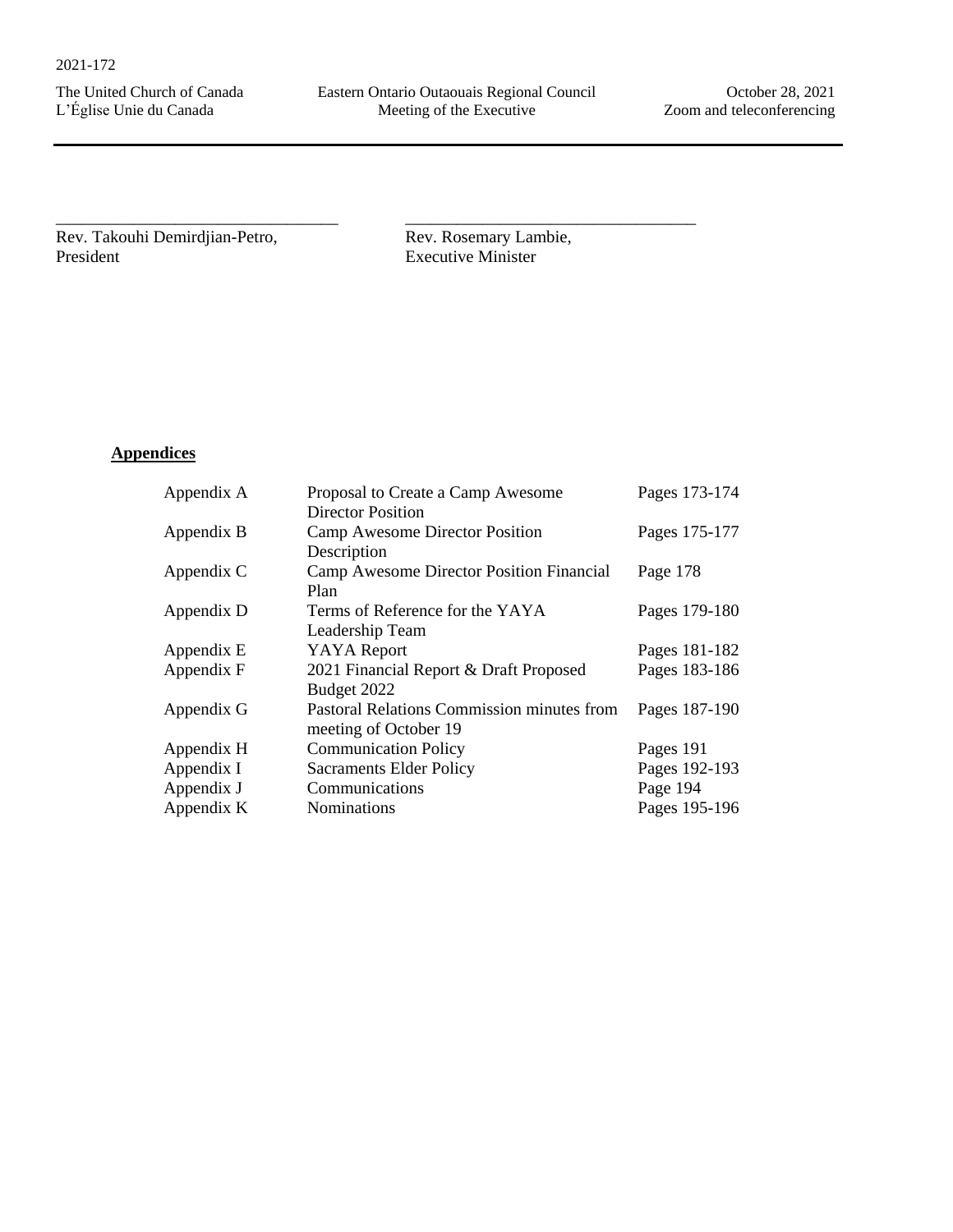Rev. Takouhi Demirdjian-Petro, President

\_\_\_\_\_\_\_\_\_\_\_\_\_\_\_\_\_\_\_\_\_\_\_\_\_\_\_\_\_\_\_\_\_

Rev. Rosemary Lambie, Executive Minister

\_\_\_\_\_\_\_\_\_\_\_\_\_\_\_\_\_\_\_\_\_\_\_\_\_\_\_\_\_\_\_\_\_\_

# **Appendices**

| Appendix A | Proposal to Create a Camp Awesome          | Pages 173-174 |
|------------|--------------------------------------------|---------------|
|            | <b>Director Position</b>                   |               |
| Appendix B | Camp Awesome Director Position             | Pages 175-177 |
|            | Description                                |               |
| Appendix C | Camp Awesome Director Position Financial   | Page 178      |
|            | Plan                                       |               |
| Appendix D | Terms of Reference for the YAYA            | Pages 179-180 |
|            | Leadership Team                            |               |
| Appendix E | <b>YAYA</b> Report                         | Pages 181-182 |
| Appendix F | 2021 Financial Report & Draft Proposed     | Pages 183-186 |
|            | Budget 2022                                |               |
| Appendix G | Pastoral Relations Commission minutes from | Pages 187-190 |
|            | meeting of October 19                      |               |
| Appendix H | <b>Communication Policy</b>                | Pages 191     |
| Appendix I | <b>Sacraments Elder Policy</b>             | Pages 192-193 |
| Appendix J | Communications                             | Page 194      |
| Appendix K | Nominations                                | Pages 195-196 |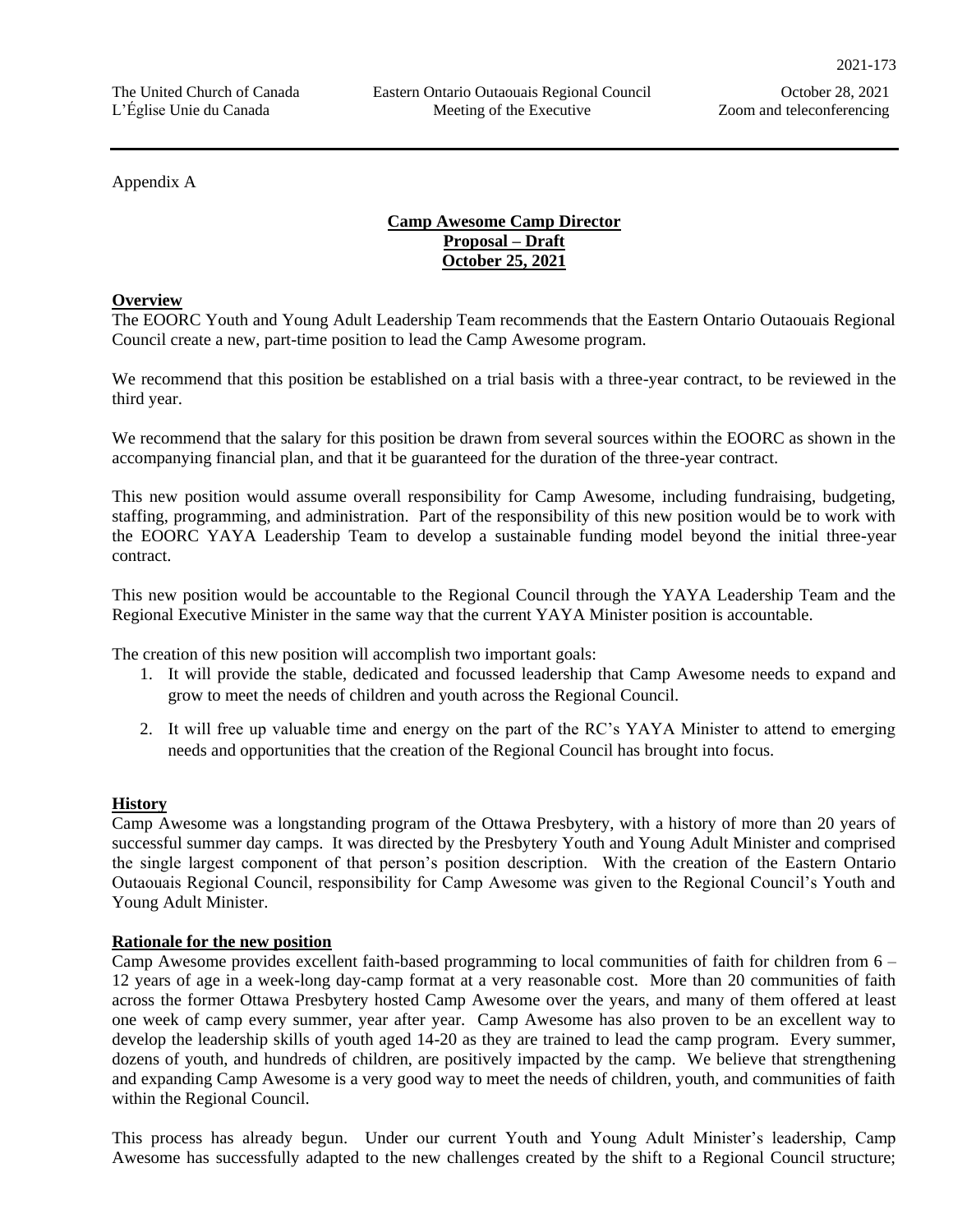Appendix A

# **Camp Awesome Camp Director Proposal – Draft October 25, 2021**

## **Overview**

The EOORC Youth and Young Adult Leadership Team recommends that the Eastern Ontario Outaouais Regional Council create a new, part-time position to lead the Camp Awesome program.

We recommend that this position be established on a trial basis with a three-year contract, to be reviewed in the third year.

We recommend that the salary for this position be drawn from several sources within the EOORC as shown in the accompanying financial plan, and that it be guaranteed for the duration of the three-year contract.

This new position would assume overall responsibility for Camp Awesome, including fundraising, budgeting, staffing, programming, and administration. Part of the responsibility of this new position would be to work with the EOORC YAYA Leadership Team to develop a sustainable funding model beyond the initial three-year contract.

This new position would be accountable to the Regional Council through the YAYA Leadership Team and the Regional Executive Minister in the same way that the current YAYA Minister position is accountable.

The creation of this new position will accomplish two important goals:

- 1. It will provide the stable, dedicated and focussed leadership that Camp Awesome needs to expand and grow to meet the needs of children and youth across the Regional Council.
- 2. It will free up valuable time and energy on the part of the RC's YAYA Minister to attend to emerging needs and opportunities that the creation of the Regional Council has brought into focus.

## **History**

Camp Awesome was a longstanding program of the Ottawa Presbytery, with a history of more than 20 years of successful summer day camps. It was directed by the Presbytery Youth and Young Adult Minister and comprised the single largest component of that person's position description. With the creation of the Eastern Ontario Outaouais Regional Council, responsibility for Camp Awesome was given to the Regional Council's Youth and Young Adult Minister.

#### **Rationale for the new position**

Camp Awesome provides excellent faith-based programming to local communities of faith for children from 6 – 12 years of age in a week-long day-camp format at a very reasonable cost. More than 20 communities of faith across the former Ottawa Presbytery hosted Camp Awesome over the years, and many of them offered at least one week of camp every summer, year after year. Camp Awesome has also proven to be an excellent way to develop the leadership skills of youth aged 14-20 as they are trained to lead the camp program. Every summer, dozens of youth, and hundreds of children, are positively impacted by the camp. We believe that strengthening and expanding Camp Awesome is a very good way to meet the needs of children, youth, and communities of faith within the Regional Council.

This process has already begun. Under our current Youth and Young Adult Minister's leadership, Camp Awesome has successfully adapted to the new challenges created by the shift to a Regional Council structure;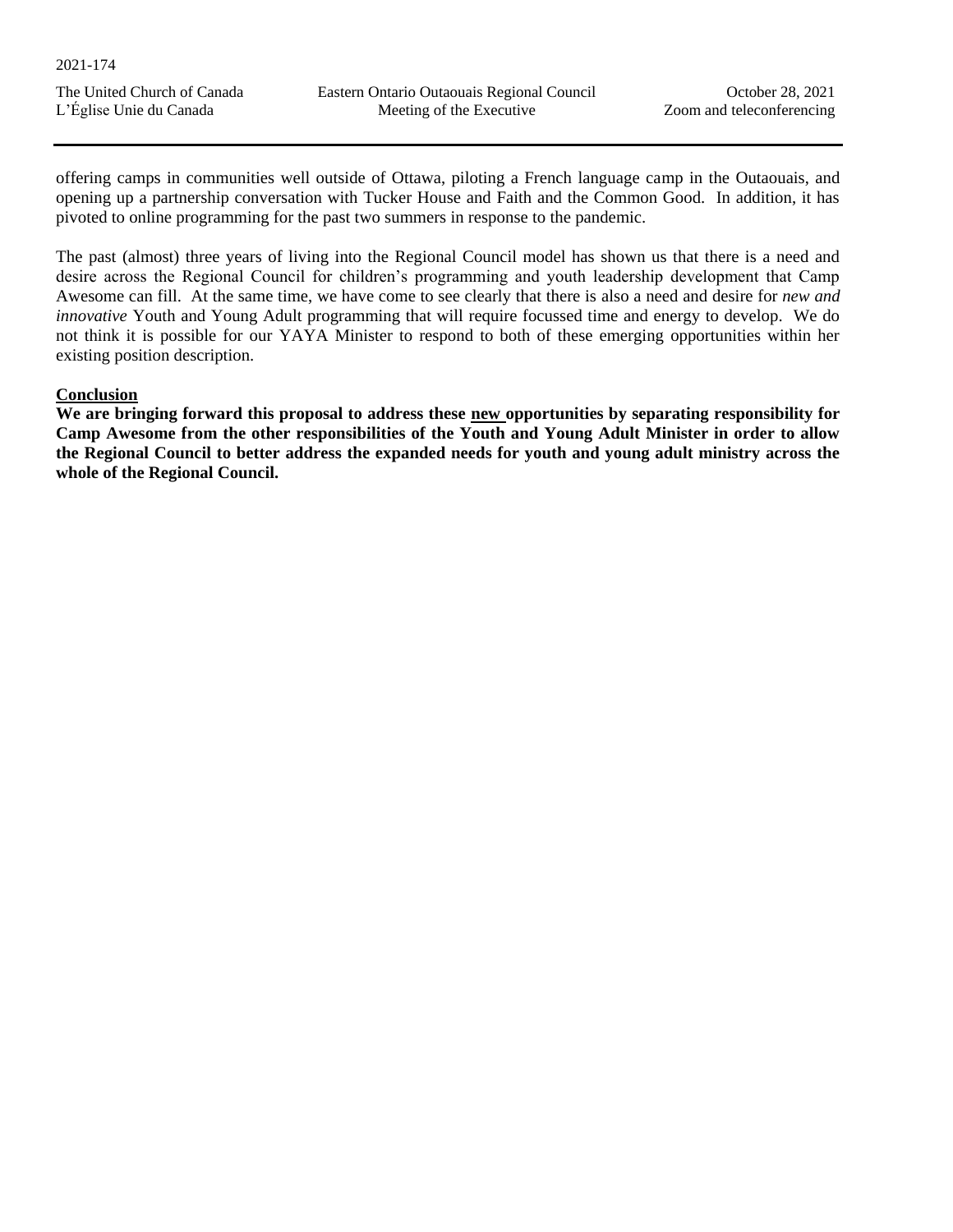offering camps in communities well outside of Ottawa, piloting a French language camp in the Outaouais, and opening up a partnership conversation with Tucker House and Faith and the Common Good. In addition, it has pivoted to online programming for the past two summers in response to the pandemic.

The past (almost) three years of living into the Regional Council model has shown us that there is a need and desire across the Regional Council for children's programming and youth leadership development that Camp Awesome can fill. At the same time, we have come to see clearly that there is also a need and desire for *new and innovative* Youth and Young Adult programming that will require focussed time and energy to develop. We do not think it is possible for our YAYA Minister to respond to both of these emerging opportunities within her existing position description.

## **Conclusion**

**We are bringing forward this proposal to address these new opportunities by separating responsibility for Camp Awesome from the other responsibilities of the Youth and Young Adult Minister in order to allow the Regional Council to better address the expanded needs for youth and young adult ministry across the whole of the Regional Council.**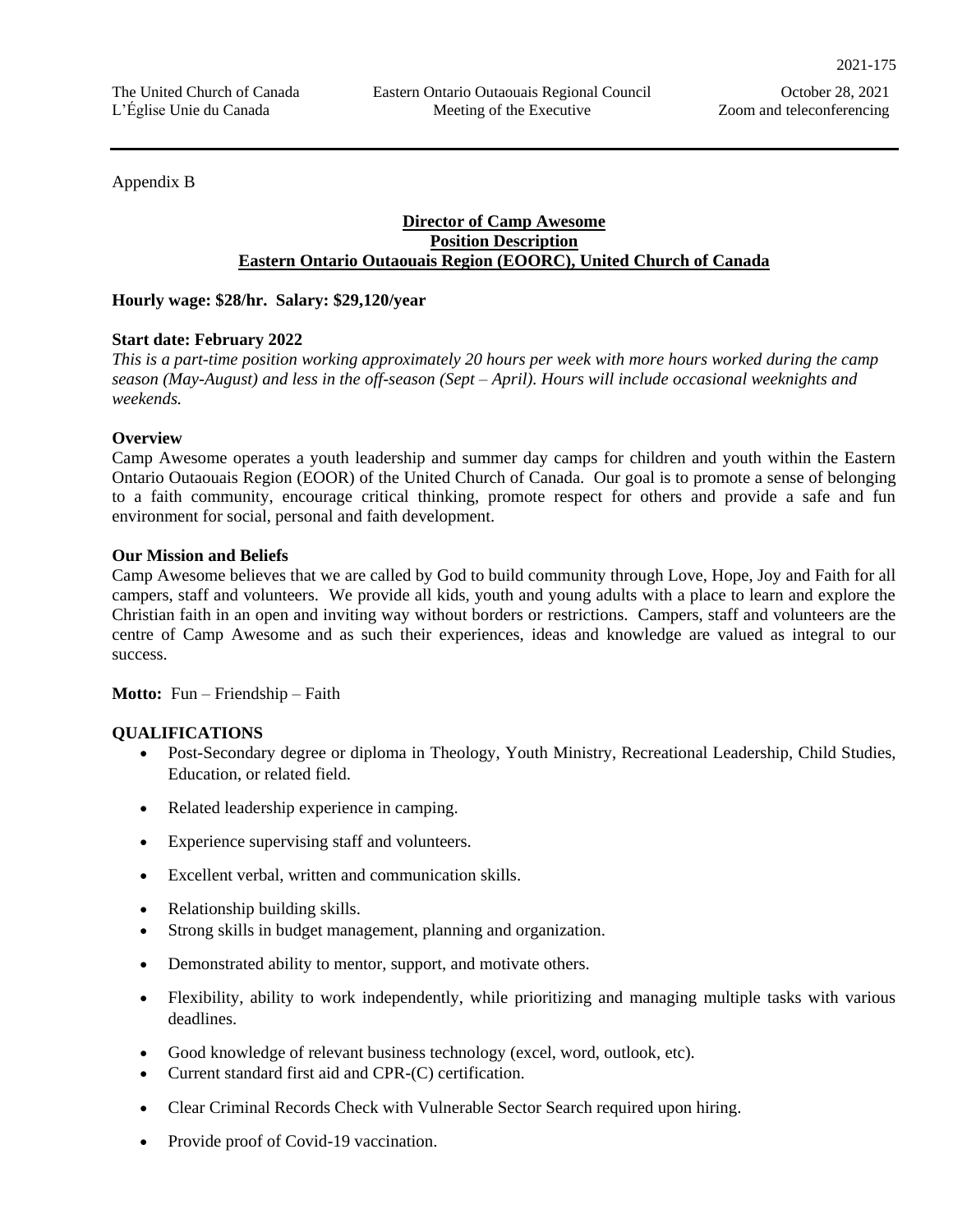Appendix B

## **Director of Camp Awesome Position Description Eastern Ontario Outaouais Region (EOORC), United Church of Canada**

**Hourly wage: \$28/hr. Salary: \$29,120/year**

## **Start date: February 2022**

*This is a part-time position working approximately 20 hours per week with more hours worked during the camp season (May-August) and less in the off-season (Sept – April). Hours will include occasional weeknights and weekends.*

## **Overview**

Camp Awesome operates a youth leadership and summer day camps for children and youth within the Eastern Ontario Outaouais Region (EOOR) of the United Church of Canada. Our goal is to promote a sense of belonging to a faith community, encourage critical thinking, promote respect for others and provide a safe and fun environment for social, personal and faith development.

## **Our Mission and Beliefs**

Camp Awesome believes that we are called by God to build community through Love, Hope, Joy and Faith for all campers, staff and volunteers. We provide all kids, youth and young adults with a place to learn and explore the Christian faith in an open and inviting way without borders or restrictions. Campers, staff and volunteers are the centre of Camp Awesome and as such their experiences, ideas and knowledge are valued as integral to our success.

**Motto:** Fun – Friendship – Faith

## **QUALIFICATIONS**

- Post-Secondary degree or diploma in Theology, Youth Ministry, Recreational Leadership, Child Studies, Education, or related field.
- Related leadership experience in camping.
- Experience supervising staff and volunteers.
- Excellent verbal, written and communication skills.
- Relationship building skills.
- Strong skills in budget management, planning and organization.
- Demonstrated ability to mentor, support, and motivate others.
- Flexibility, ability to work independently, while prioritizing and managing multiple tasks with various deadlines.
- Good knowledge of relevant business technology (excel, word, outlook, etc).
- Current standard first aid and CPR-(C) certification.
- Clear Criminal Records Check with Vulnerable Sector Search required upon hiring.
- Provide proof of Covid-19 vaccination.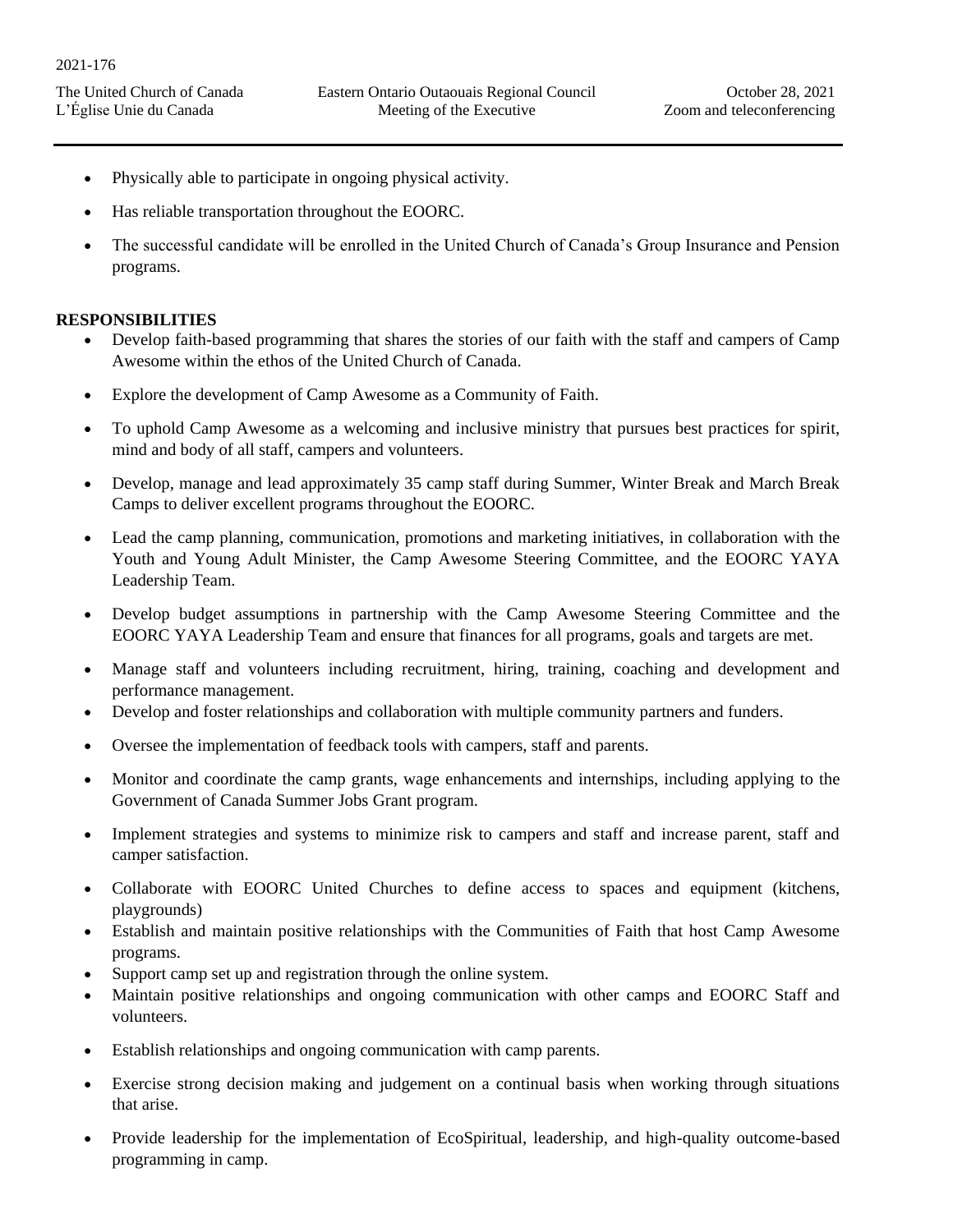- Physically able to participate in ongoing physical activity.
- Has reliable transportation throughout the EOORC.
- The successful candidate will be enrolled in the United Church of Canada's Group Insurance and Pension programs.

## **RESPONSIBILITIES**

- Develop faith-based programming that shares the stories of our faith with the staff and campers of Camp Awesome within the ethos of the United Church of Canada.
- Explore the development of Camp Awesome as a Community of Faith.
- To uphold Camp Awesome as a welcoming and inclusive ministry that pursues best practices for spirit, mind and body of all staff, campers and volunteers.
- Develop, manage and lead approximately 35 camp staff during Summer, Winter Break and March Break Camps to deliver excellent programs throughout the EOORC.
- Lead the camp planning, communication, promotions and marketing initiatives, in collaboration with the Youth and Young Adult Minister, the Camp Awesome Steering Committee, and the EOORC YAYA Leadership Team.
- Develop budget assumptions in partnership with the Camp Awesome Steering Committee and the EOORC YAYA Leadership Team and ensure that finances for all programs, goals and targets are met.
- Manage staff and volunteers including recruitment, hiring, training, coaching and development and performance management.
- Develop and foster relationships and collaboration with multiple community partners and funders.
- Oversee the implementation of feedback tools with campers, staff and parents.
- Monitor and coordinate the camp grants, wage enhancements and internships, including applying to the Government of Canada Summer Jobs Grant program.
- Implement strategies and systems to minimize risk to campers and staff and increase parent, staff and camper satisfaction.
- Collaborate with EOORC United Churches to define access to spaces and equipment (kitchens, playgrounds)
- Establish and maintain positive relationships with the Communities of Faith that host Camp Awesome programs.
- Support camp set up and registration through the online system.
- Maintain positive relationships and ongoing communication with other camps and EOORC Staff and volunteers.
- Establish relationships and ongoing communication with camp parents.
- Exercise strong decision making and judgement on a continual basis when working through situations that arise.
- Provide leadership for the implementation of EcoSpiritual, leadership, and high-quality outcome-based programming in camp.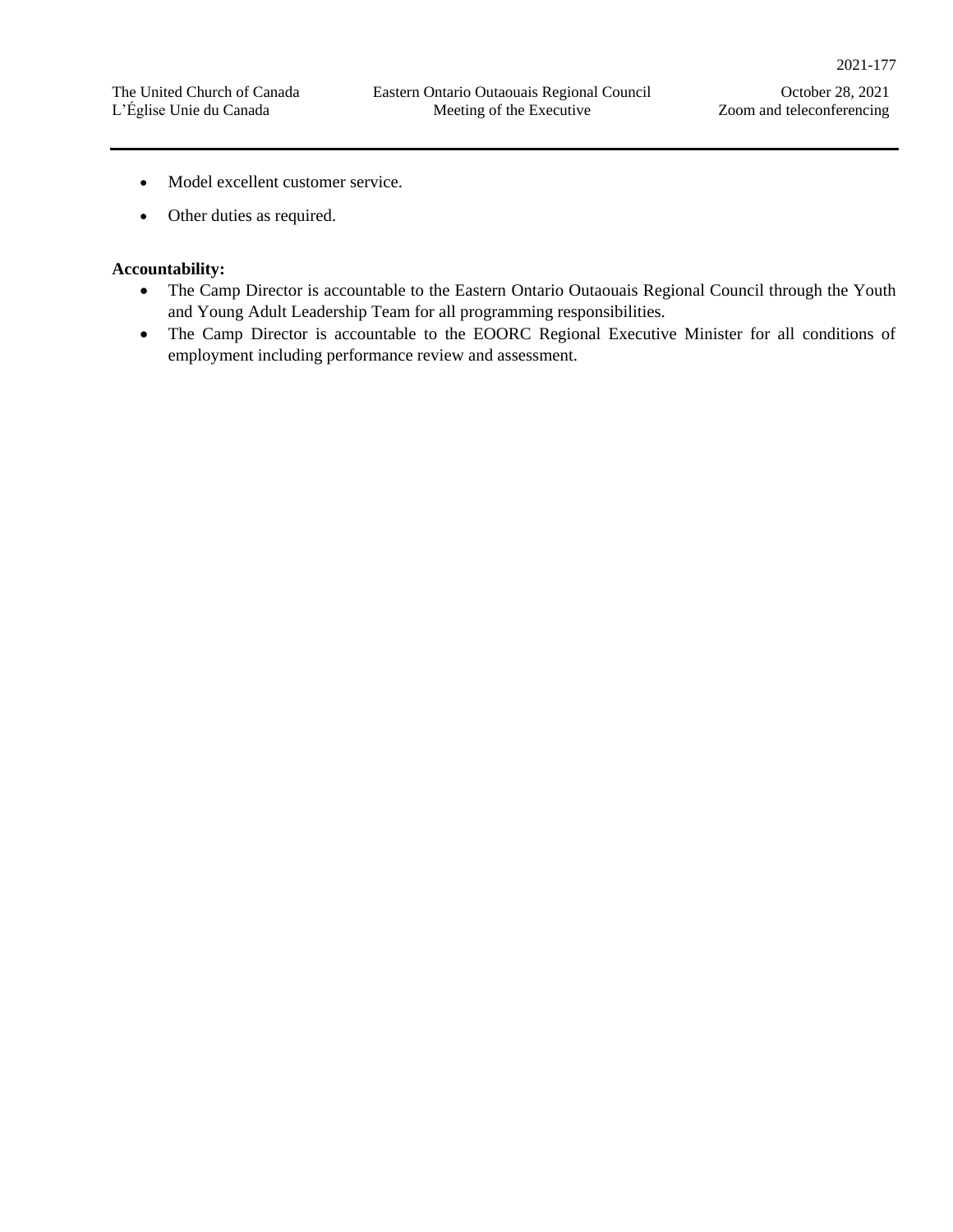- Model excellent customer service.
- Other duties as required.

## **Accountability:**

- The Camp Director is accountable to the Eastern Ontario Outaouais Regional Council through the Youth and Young Adult Leadership Team for all programming responsibilities.
- The Camp Director is accountable to the EOORC Regional Executive Minister for all conditions of employment including performance review and assessment.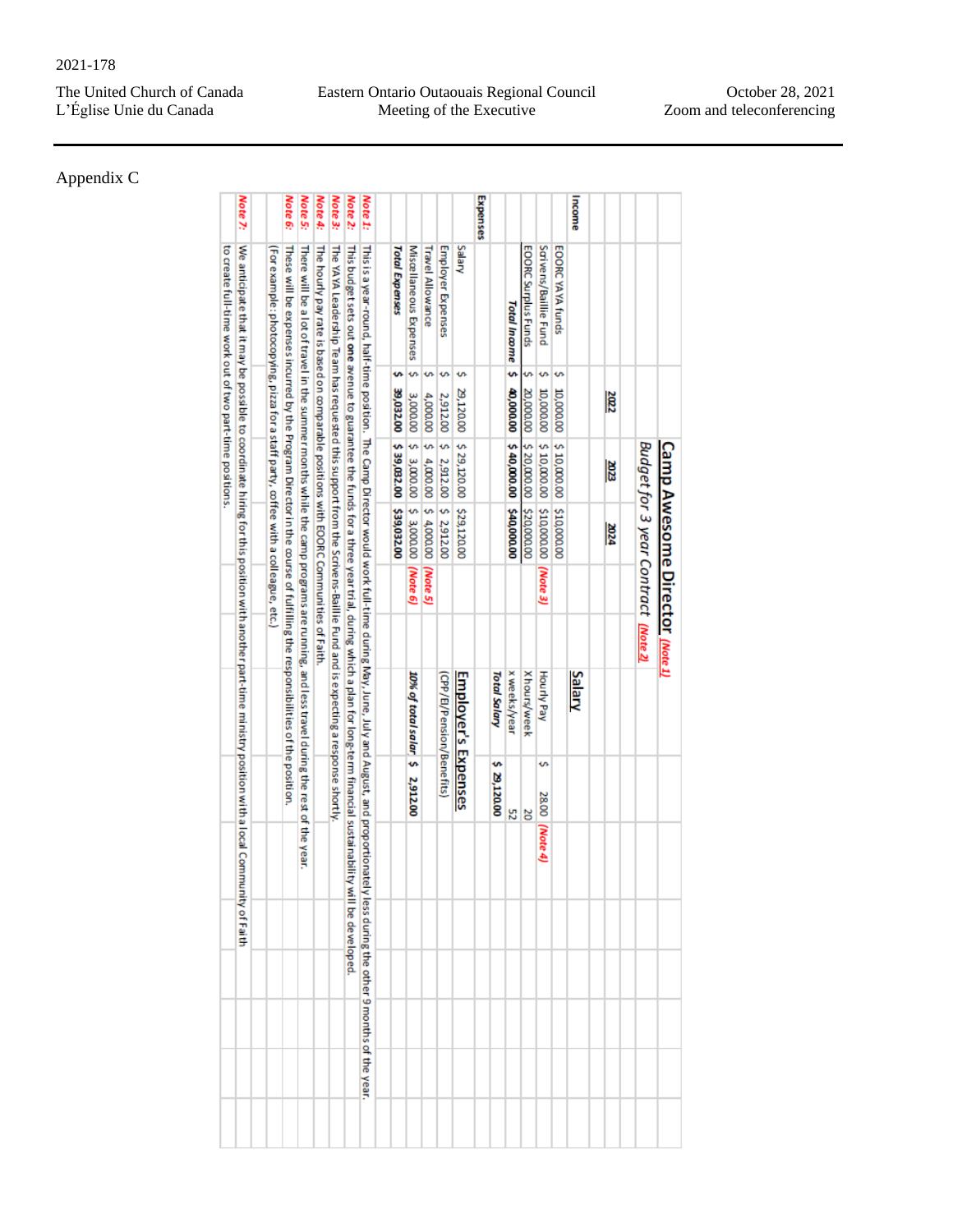Appendix C

|          |                                                                                                                                                                                            |                    | <b>Camp Awesome Director (Note 1)</b> |                                     |          |                                |                |          |                                                  |  |  |
|----------|--------------------------------------------------------------------------------------------------------------------------------------------------------------------------------------------|--------------------|---------------------------------------|-------------------------------------|----------|--------------------------------|----------------|----------|--------------------------------------------------|--|--|
|          |                                                                                                                                                                                            |                    |                                       | Budget for 3 year Contract (Note 2) |          |                                |                |          |                                                  |  |  |
|          |                                                                                                                                                                                            |                    |                                       |                                     |          |                                |                |          |                                                  |  |  |
|          |                                                                                                                                                                                            | $\frac{2002}{200}$ | 2023                                  | <b>2024</b>                         |          |                                |                |          |                                                  |  |  |
| Income   |                                                                                                                                                                                            |                    |                                       |                                     |          | Salary                         |                |          |                                                  |  |  |
|          | EOORC YAYA funds                                                                                                                                                                           | s<br>10,000.00     | \$10,000.00                           | \$10,000.00                         |          |                                |                |          |                                                  |  |  |
|          | Saivens/Baillie Fund                                                                                                                                                                       | s<br>10,000.00     | \$10,000.00                           | \$10,000.00                         | (Note 3) | Hourly Pay                     | Š,<br>28.00    | (Note 4) |                                                  |  |  |
|          | EOORC Surplus Funds                                                                                                                                                                        | m<br>20,000.00     | \$20,000.00                           | \$20,000.00                         |          | Xhours/week                    | ΣΟ             |          |                                                  |  |  |
|          | Total Income <sub>5</sub>                                                                                                                                                                  | 40,000.00          | \$40,000.00                           | \$40,000.00                         |          | x weeks/year                   | 52             |          |                                                  |  |  |
|          |                                                                                                                                                                                            |                    |                                       |                                     |          | <b>Total Salary</b>            | w<br>29,120.00 |          |                                                  |  |  |
| Expenses |                                                                                                                                                                                            |                    |                                       |                                     |          |                                |                |          |                                                  |  |  |
|          | Salary                                                                                                                                                                                     | s<br>29,120.00     | \$29,120.00                           | \$29,120.00                         |          | <b>Employer's Expenses</b>     |                |          |                                                  |  |  |
|          | Employer Expenses                                                                                                                                                                          | s<br>2,912.00      | \$ 2,912.00 \$ 2,912.00               |                                     |          | (CPP/El/Pension/Benefits)      |                |          |                                                  |  |  |
|          | <b>Travel Allowance</b>                                                                                                                                                                    | s<br>4,000.00      | 5.4,000.00                            | \$4,0000,00                         | (Mote 5) |                                |                |          |                                                  |  |  |
|          | Miscellane ous Expenses                                                                                                                                                                    | s<br>3,000.00      | \$3,000.00                            | \$ 3,000.00                         | (Mote 6) | 10% of total salar \$ 2,912.00 |                |          |                                                  |  |  |
|          | <b>Total Expenses</b>                                                                                                                                                                      | s<br>39,032.00     | \$39,032.00                           | \$39,032,00                         |          |                                |                |          |                                                  |  |  |
| Note 1:  | This is a year-rainful, hairful was in the Camp Director would work full-time during May, July and August, and proportional                                                                |                    |                                       |                                     |          |                                |                |          | tely less during the other 9 months of the year. |  |  |
| Note 2:  | This budget sets out one avenue to guarantee the funds for a three year trial, during which a plan for long-term financial sustainabili                                                    |                    |                                       |                                     |          |                                |                |          | ty will be developed.                            |  |  |
| Note 3:  | The YAYA Leadership Team has requested this support from the Scrivens-Baillie Fund and is expecting a response shortly                                                                     |                    |                                       |                                     |          |                                |                |          |                                                  |  |  |
| Note 4:  | The policy bay rate is based on 00 monatole positions with EOORC Communities of Faith                                                                                                      |                    |                                       |                                     |          |                                |                |          |                                                  |  |  |
| Note 5:  | There will be a lot of travel in the summer months while the camp programs are running, and less travel during the rest of the year.                                                       |                    |                                       |                                     |          |                                |                |          |                                                  |  |  |
| Note 6:  | These will be expenses incurred by the Proposition in the control of fulfilling the responsion control by the product of the product of the product of the product of the product of $\mu$ |                    |                                       |                                     |          |                                |                |          |                                                  |  |  |
|          | (For example: photocopying, pizza for a staff party, coffee with a colleague, etc.)                                                                                                        |                    |                                       |                                     |          |                                |                |          |                                                  |  |  |
|          |                                                                                                                                                                                            |                    |                                       |                                     |          |                                |                |          |                                                  |  |  |
| Note 7:  | We anticipate that it may be possible to coordinate hing for this position with another part-time ministry position with a local Community of Faith                                        |                    |                                       |                                     |          |                                |                |          |                                                  |  |  |
|          | to create full-time work out of two part-time positions.                                                                                                                                   |                    |                                       |                                     |          |                                |                |          |                                                  |  |  |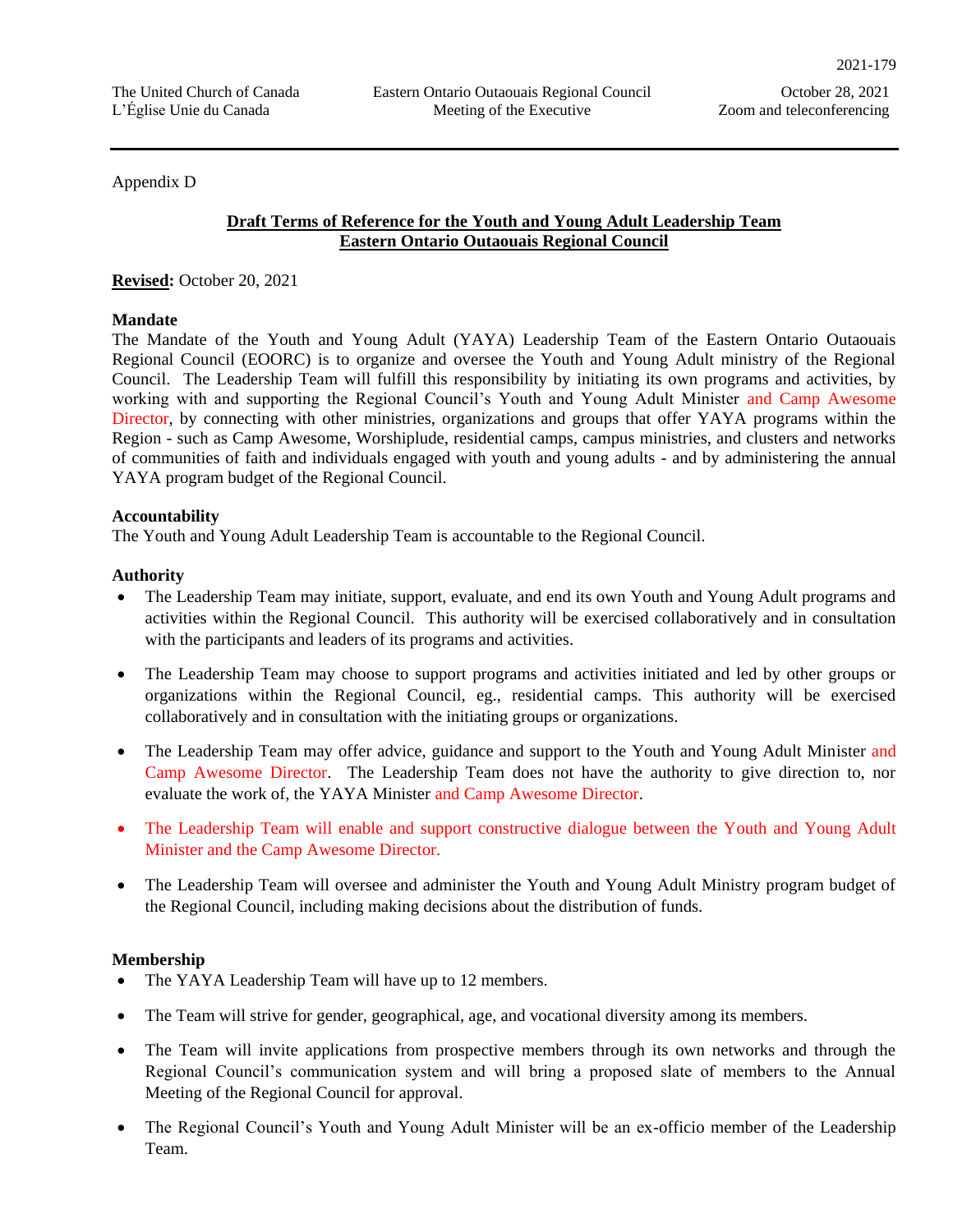Appendix D

## **Draft Terms of Reference for the Youth and Young Adult Leadership Team Eastern Ontario Outaouais Regional Council**

**Revised:** October 20, 2021

## **Mandate**

The Mandate of the Youth and Young Adult (YAYA) Leadership Team of the Eastern Ontario Outaouais Regional Council (EOORC) is to organize and oversee the Youth and Young Adult ministry of the Regional Council. The Leadership Team will fulfill this responsibility by initiating its own programs and activities, by working with and supporting the Regional Council's Youth and Young Adult Minister and Camp Awesome Director, by connecting with other ministries, organizations and groups that offer YAYA programs within the Region - such as Camp Awesome, Worshiplude, residential camps, campus ministries, and clusters and networks of communities of faith and individuals engaged with youth and young adults - and by administering the annual YAYA program budget of the Regional Council.

#### **Accountability**

The Youth and Young Adult Leadership Team is accountable to the Regional Council.

## **Authority**

- The Leadership Team may initiate, support, evaluate, and end its own Youth and Young Adult programs and activities within the Regional Council. This authority will be exercised collaboratively and in consultation with the participants and leaders of its programs and activities.
- The Leadership Team may choose to support programs and activities initiated and led by other groups or organizations within the Regional Council, eg., residential camps. This authority will be exercised collaboratively and in consultation with the initiating groups or organizations.
- The Leadership Team may offer advice, guidance and support to the Youth and Young Adult Minister and Camp Awesome Director. The Leadership Team does not have the authority to give direction to, nor evaluate the work of, the YAYA Minister and Camp Awesome Director.
- The Leadership Team will enable and support constructive dialogue between the Youth and Young Adult Minister and the Camp Awesome Director.
- The Leadership Team will oversee and administer the Youth and Young Adult Ministry program budget of the Regional Council, including making decisions about the distribution of funds.

#### **Membership**

- The YAYA Leadership Team will have up to 12 members.
- The Team will strive for gender, geographical, age, and vocational diversity among its members.
- The Team will invite applications from prospective members through its own networks and through the Regional Council's communication system and will bring a proposed slate of members to the Annual Meeting of the Regional Council for approval.
- The Regional Council's Youth and Young Adult Minister will be an ex-officio member of the Leadership Team.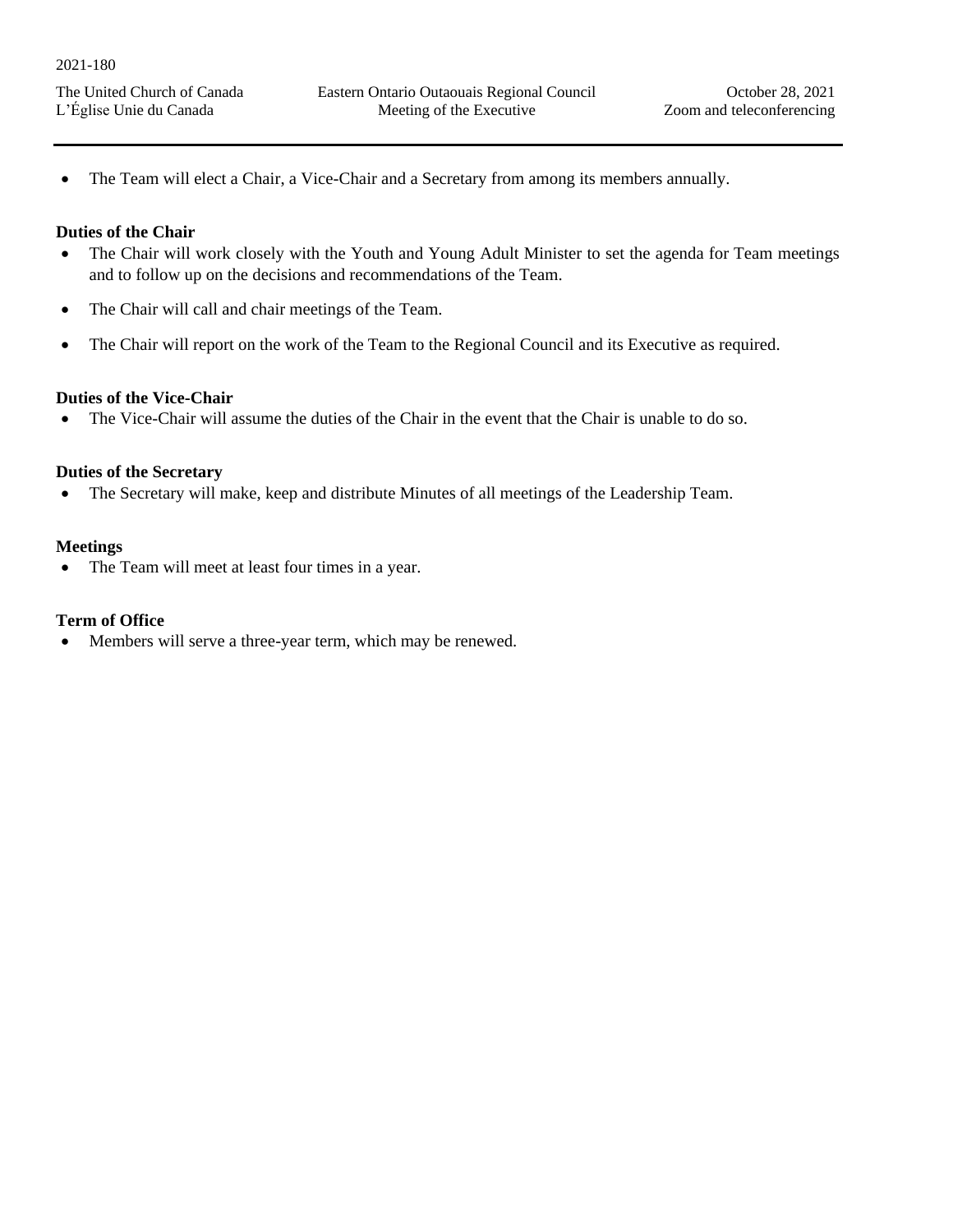• The Team will elect a Chair, a Vice-Chair and a Secretary from among its members annually.

## **Duties of the Chair**

- The Chair will work closely with the Youth and Young Adult Minister to set the agenda for Team meetings and to follow up on the decisions and recommendations of the Team.
- The Chair will call and chair meetings of the Team.
- The Chair will report on the work of the Team to the Regional Council and its Executive as required.

## **Duties of the Vice-Chair**

• The Vice-Chair will assume the duties of the Chair in the event that the Chair is unable to do so.

## **Duties of the Secretary**

• The Secretary will make, keep and distribute Minutes of all meetings of the Leadership Team.

## **Meetings**

• The Team will meet at least four times in a year.

## **Term of Office**

• Members will serve a three-year term, which may be renewed.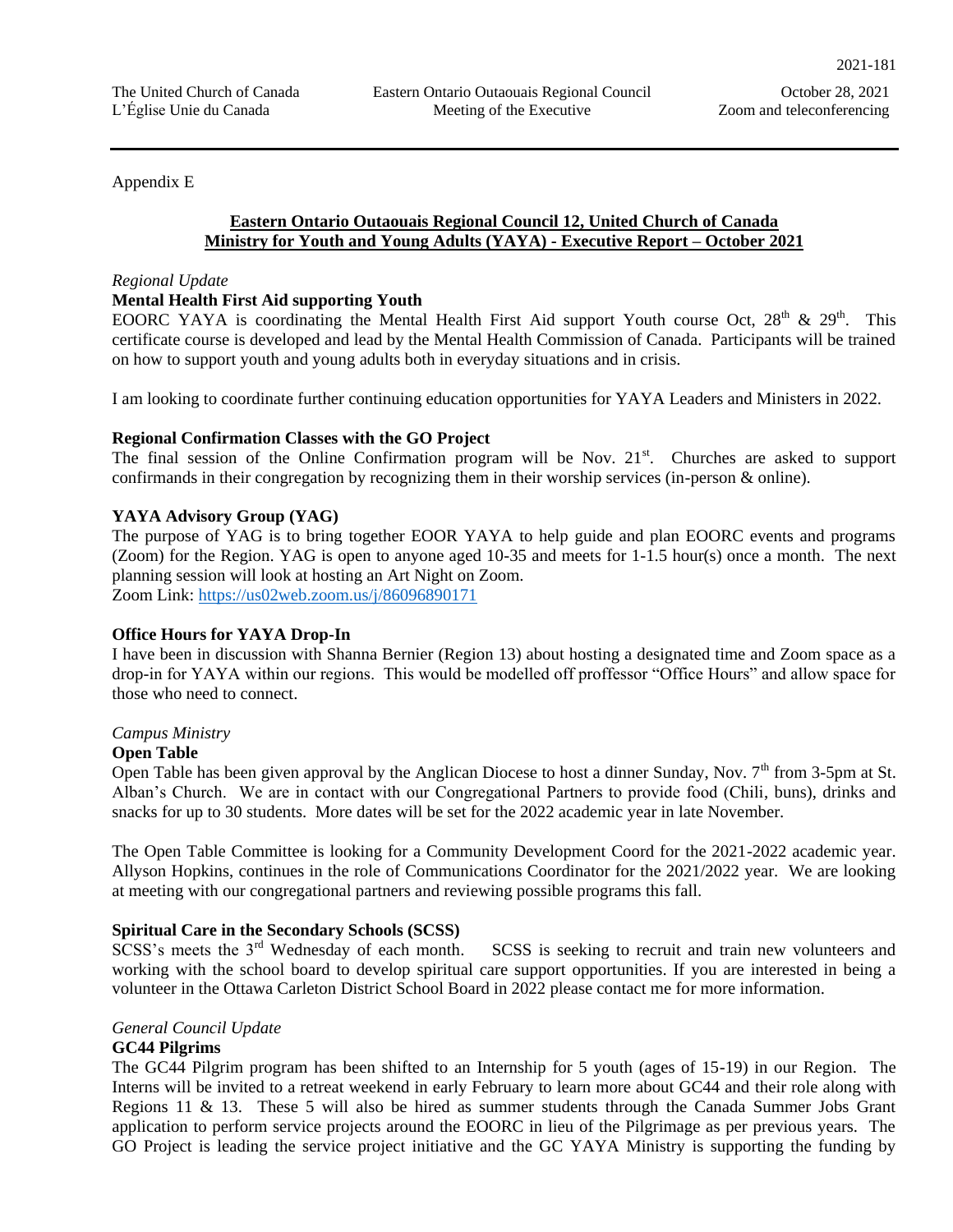## Appendix E

## **Eastern Ontario Outaouais Regional Council 12, United Church of Canada Ministry for Youth and Young Adults (YAYA) - Executive Report – October 2021**

#### *Regional Update*

## **Mental Health First Aid supporting Youth**

EOORC YAYA is coordinating the Mental Health First Aid support Youth course Oct,  $28<sup>th</sup>$  &  $29<sup>th</sup>$ . This certificate course is developed and lead by the Mental Health Commission of Canada. Participants will be trained on how to support youth and young adults both in everyday situations and in crisis.

I am looking to coordinate further continuing education opportunities for YAYA Leaders and Ministers in 2022.

## **Regional Confirmation Classes with the GO Project**

The final session of the Online Confirmation program will be Nov.  $21<sup>st</sup>$ . Churches are asked to support confirmands in their congregation by recognizing them in their worship services (in-person & online).

## **YAYA Advisory Group (YAG)**

The purpose of YAG is to bring together EOOR YAYA to help guide and plan EOORC events and programs (Zoom) for the Region. YAG is open to anyone aged 10-35 and meets for 1-1.5 hour(s) once a month. The next planning session will look at hosting an Art Night on Zoom. Zoom Link:<https://us02web.zoom.us/j/86096890171>

#### **Office Hours for YAYA Drop-In**

I have been in discussion with Shanna Bernier (Region 13) about hosting a designated time and Zoom space as a drop-in for YAYA within our regions. This would be modelled off proffessor "Office Hours" and allow space for those who need to connect.

#### *Campus Ministry*

#### **Open Table**

Open Table has been given approval by the Anglican Diocese to host a dinner Sunday, Nov.  $7<sup>th</sup>$  from 3-5pm at St. Alban's Church. We are in contact with our Congregational Partners to provide food (Chili, buns), drinks and snacks for up to 30 students. More dates will be set for the 2022 academic year in late November.

The Open Table Committee is looking for a Community Development Coord for the 2021-2022 academic year. Allyson Hopkins, continues in the role of Communications Coordinator for the 2021/2022 year. We are looking at meeting with our congregational partners and reviewing possible programs this fall.

## **Spiritual Care in the Secondary Schools (SCSS)**

SCSS's meets the 3<sup>rd</sup> Wednesday of each month. SCSS is seeking to recruit and train new volunteers and working with the school board to develop spiritual care support opportunities. If you are interested in being a volunteer in the Ottawa Carleton District School Board in 2022 please contact me for more information.

#### *General Council Update*

## **GC44 Pilgrims**

The GC44 Pilgrim program has been shifted to an Internship for 5 youth (ages of 15-19) in our Region. The Interns will be invited to a retreat weekend in early February to learn more about GC44 and their role along with Regions 11 & 13. These 5 will also be hired as summer students through the Canada Summer Jobs Grant application to perform service projects around the EOORC in lieu of the Pilgrimage as per previous years. The GO Project is leading the service project initiative and the GC YAYA Ministry is supporting the funding by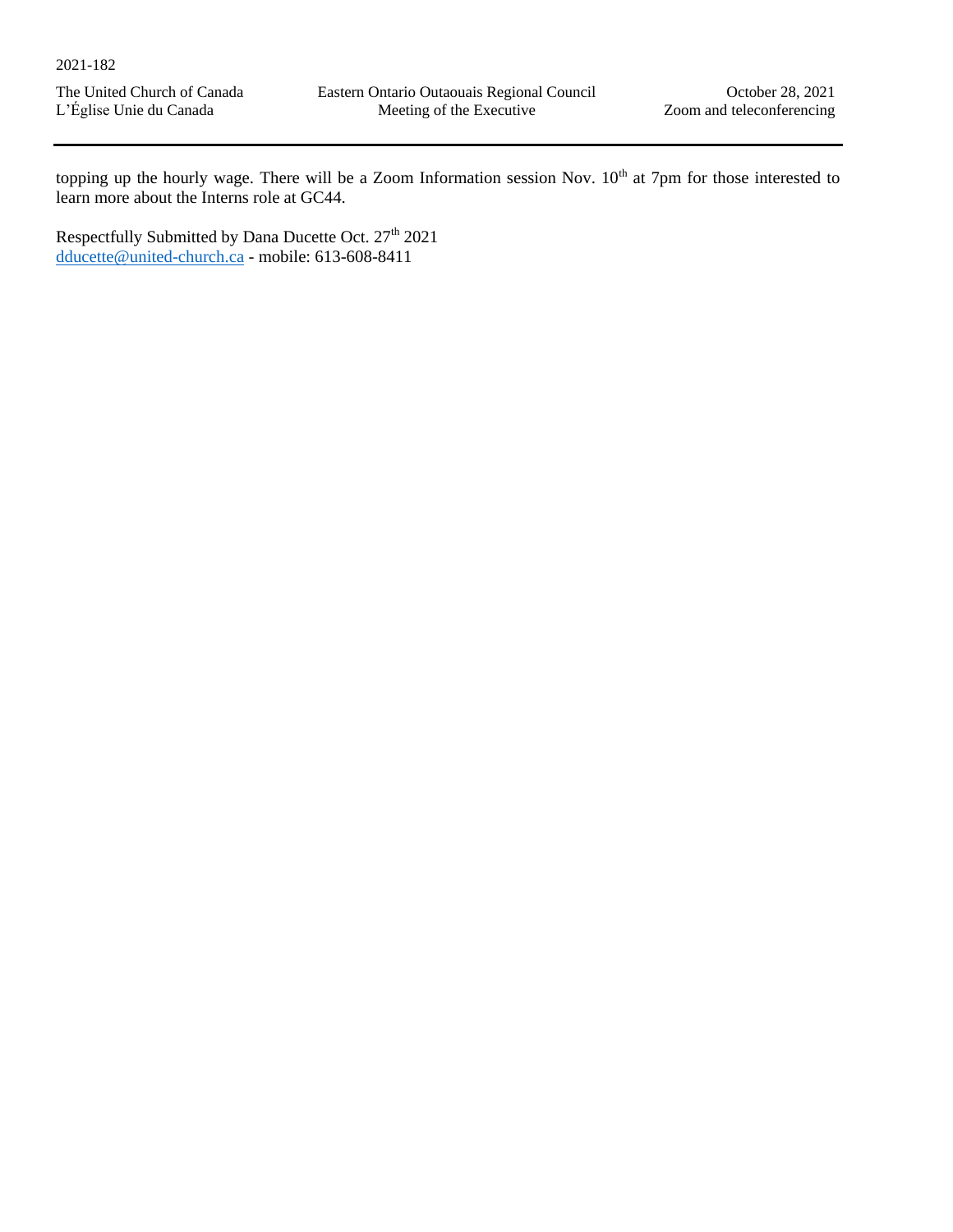topping up the hourly wage. There will be a Zoom Information session Nov.  $10<sup>th</sup>$  at 7pm for those interested to learn more about the Interns role at GC44.

Respectfully Submitted by Dana Ducette Oct. 27<sup>th</sup> 2021 [dducette@united-church.ca](mailto:dducette@united-church.ca) - mobile: 613-608-8411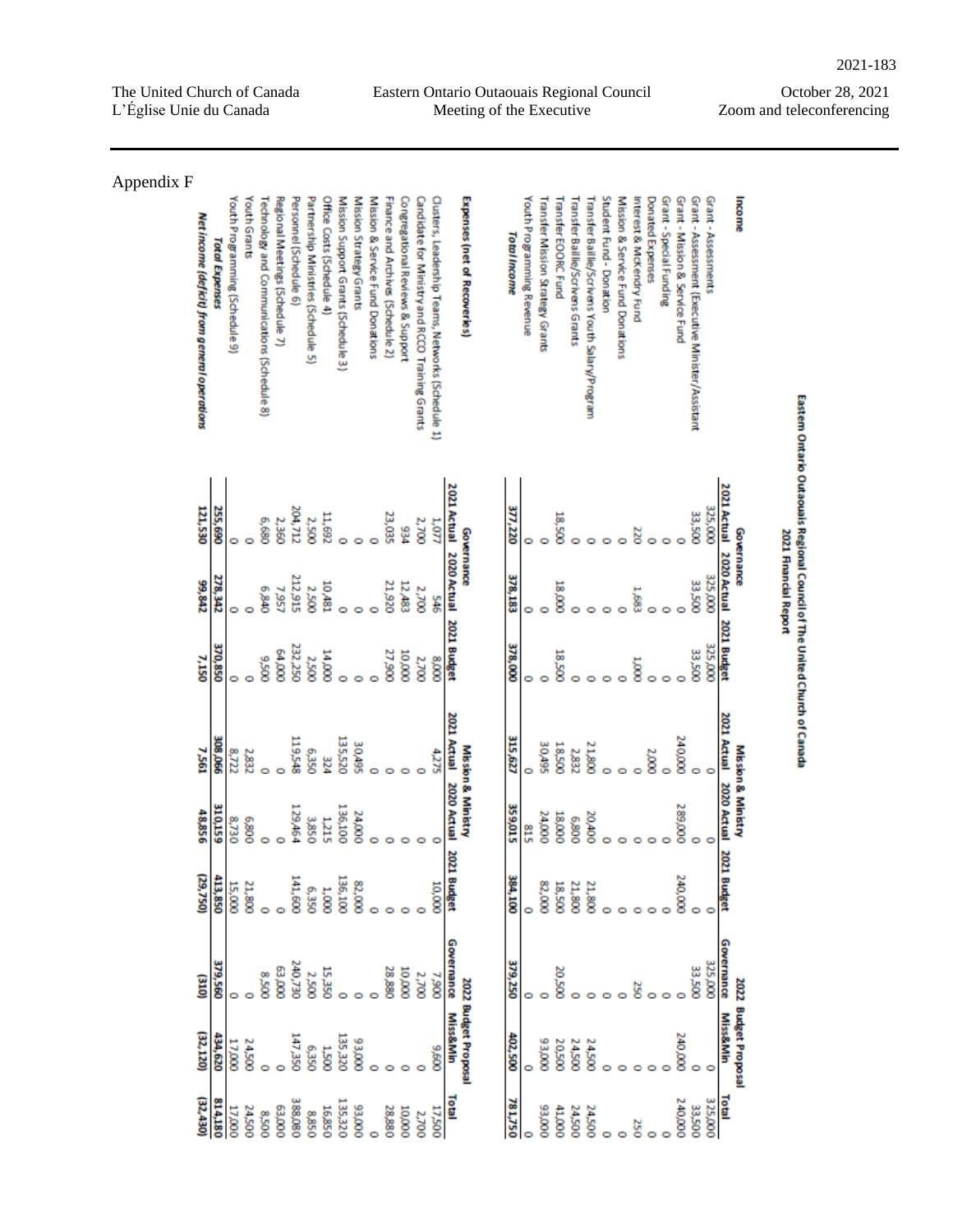## October 28, 2021 Zoom and teleconferencing

| Appendix F |                                              |                       |                                |              |                                            |                                |                        |                                     |                           |                                     |                         |                                  |                                   |                                  |                                                 |                                                   |                         |                              |                     |                           |                                   |                     |                                  |                                                |                         |                                  |                          |                  |                         |                                |                                                  |                     |                                             |                       |                                                                          |
|------------|----------------------------------------------|-----------------------|--------------------------------|--------------|--------------------------------------------|--------------------------------|------------------------|-------------------------------------|---------------------------|-------------------------------------|-------------------------|----------------------------------|-----------------------------------|----------------------------------|-------------------------------------------------|---------------------------------------------------|-------------------------|------------------------------|---------------------|---------------------------|-----------------------------------|---------------------|----------------------------------|------------------------------------------------|-------------------------|----------------------------------|--------------------------|------------------|-------------------------|--------------------------------|--------------------------------------------------|---------------------|---------------------------------------------|-----------------------|--------------------------------------------------------------------------|
|            | Net income (deficit) from general operations | <b>Total Expenses</b> | Youth Programming (Schedule 9) | Youth Grants | Technology and Communications (Schedule 8) | Regional Meetings (Schedule 7) | Personnel (Schedule 6) | Partnership Ministries (Schedule 5) | Office Costs (Schedule 4) | Mission Support Grants (Schedule 3) | Mission Strategy Grants | Mission & Service Fund Donations | Finance and Archives (Schedule 2) | Congregational Reviews & Support | Candidate for Ministry and RCCO Training Grants | Clusters, Leadership Teams, Networks (Schedule 1) |                         | Expenses (net of Recoveries) | <b>Total Income</b> | Youth Programming Revenue | Transfer Mission Strattegy Grants | Transfer EOORC Fund | Transfer Baillie/Scrivens Grants | Transfer Baillie/Scrivens Youth Salary/Program | Student Fund - Donation | Mission & Service Fund Donations | Interest & McKendry Fund | Donated Expenses | Grant - Special Funding | Grant - Mission & Service Fund | Grant - Assessment (Executive Minister/Assistant | Grant - Assessments | Income                                      |                       |                                                                          |
|            | 121,530                                      | 255,690               |                                |              | 089'9                                      | 2,360                          | 204,712                | 2,500                               | 11,692                    |                                     |                         |                                  | 23,035                            | ۶ĝ                               | 2,700                                           | 1,077                                             | 2021 Actual             | Governance                   | 377,220             |                           |                                   | 18,500              |                                  |                                                |                         |                                  |                          |                  |                         |                                | 33,500                                           | 325,000             | <b>2021 Actual</b><br>Governance            |                       | Eastem Ontario Outaouais Regional Council of The United Church of Canada |
|            | 99,842                                       | 278,342               |                                |              | $0+p6$                                     | 7,957                          | 212,915                | <b>2,500</b>                        | 10,481                    |                                     |                         |                                  | 21,920                            | 12,483                           | 2,700                                           | ¥                                                 | 2020 Actual 2021 Budget |                              | 378,183             |                           | o<br>0                            | 18,000              |                                  | e                                              |                         |                                  | ģ                        |                  |                         |                                | 33,500                                           | 325,000             | 2020 Actual                                 | 2021 Financial Report |                                                                          |
|            | 7,150                                        | 370,850               | 0                              |              | 005'6                                      | 0000179                        | 232,250                | 2,500                               | 000'#I                    |                                     |                         |                                  | 27,900                            | 000001                           | 2,700                                           | 000'8                                             |                         |                              | 378,000             |                           | 0                                 | 005'81              |                                  |                                                |                         |                                  | g                        |                  |                         |                                | 33,500                                           | 325,000             | <b>2021 Budget</b>                          |                       |                                                                          |
|            | 7,561                                        | 990'80E               | 8,722                          | 2,832        |                                            |                                | 119,548                | 0'520                               | 324                       | 135,520                             | 30,495                  |                                  |                                   |                                  |                                                 | 4,275                                             | 2021 Actual             |                              | 315,627             |                           | 364,05<br>0                       | 005'81              | 2,832                            | 21,800                                         |                         |                                  |                          | 2000             |                         | 240,000                        |                                                  |                     | 2021 Actual                                 |                       |                                                                          |
|            | 48,856                                       | 310,159               | 8,730                          | 008'9        | $\circ$                                    | $\circ$                        | 129,464                | 3,850                               | 1,215                     | 136,100                             | 24,000                  | 0                                | o                                 |                                  |                                                 |                                                   | 2020 Actual             | Mission & Ministry           | 359,015             |                           | 24,000<br>\$12                    | 18,000              | 008'9                            | 20,400                                         |                         |                                  |                          |                  |                         | 289,000                        |                                                  |                     | Mission & Ministry<br>2020 Actual           |                       |                                                                          |
|            | (29,750)                                     | 413,850               | 15,000                         | 21,800       |                                            |                                | 141,600                | 6,350                               | 1,0000                    | 136,100                             | 82,000                  |                                  |                                   |                                  |                                                 | 10,000                                            | 2021 Budget             |                              | 384,100             |                           | 82,000                            | 18,500              | 21,800                           | 21,800                                         |                         |                                  |                          |                  |                         | 240,000                        |                                                  |                     | 202<br>1 Budget                             |                       |                                                                          |
|            | (a10)                                        | 379,560               |                                |              | 005'8                                      | $000'$ <sub>£9</sub>           | <b>240,730</b>         | 2,500                               | 15,350                    | 0                                   |                         |                                  | 28,880                            | 000'0T                           | 2,700                                           | 7,900                                             | Governance              |                              | 379,250             |                           |                                   | <b>20.500</b>       |                                  |                                                |                         |                                  | g                        |                  |                         |                                | 33,500                                           | 325,000             | Governance                                  |                       |                                                                          |
|            | (32, 120)                                    | 434,620               | 17,000                         | 24,500       |                                            |                                | <b>U47,350</b>         | 6,350                               | <b>0051T</b>              | 135,320                             | 33,000                  |                                  |                                   |                                  |                                                 | 009'6                                             | <b>Miss&amp;Min</b>     | 2022 Budget Proposal         | 402,500             |                           | 0000'E6                           | <b>20,500</b>       | 24,500                           | <b>24,500</b>                                  |                         |                                  |                          |                  |                         | 240,000                        |                                                  |                     | 2022 Budget Proposal<br><b>Miss&amp;Min</b> |                       |                                                                          |
|            | (32, 430)                                    | 814,180               | 17,000                         | 24,500       | 0058                                       | 000'E9                         | 388,080                | 8,850                               | 16,850                    | 135,320                             | 000'E6                  | $\circ$                          | 28,880                            | 10,000                           | 2,700                                           | 17,500                                            | <b>Total</b>            |                              | 781,750             |                           | 000'E6                            | 00011               | 24,500                           | 24,500                                         | ۰                       | ō                                | 250                      | 0                |                         | 240,000                        | 33,500                                           | 325,000             | <b>Total</b>                                |                       |                                                                          |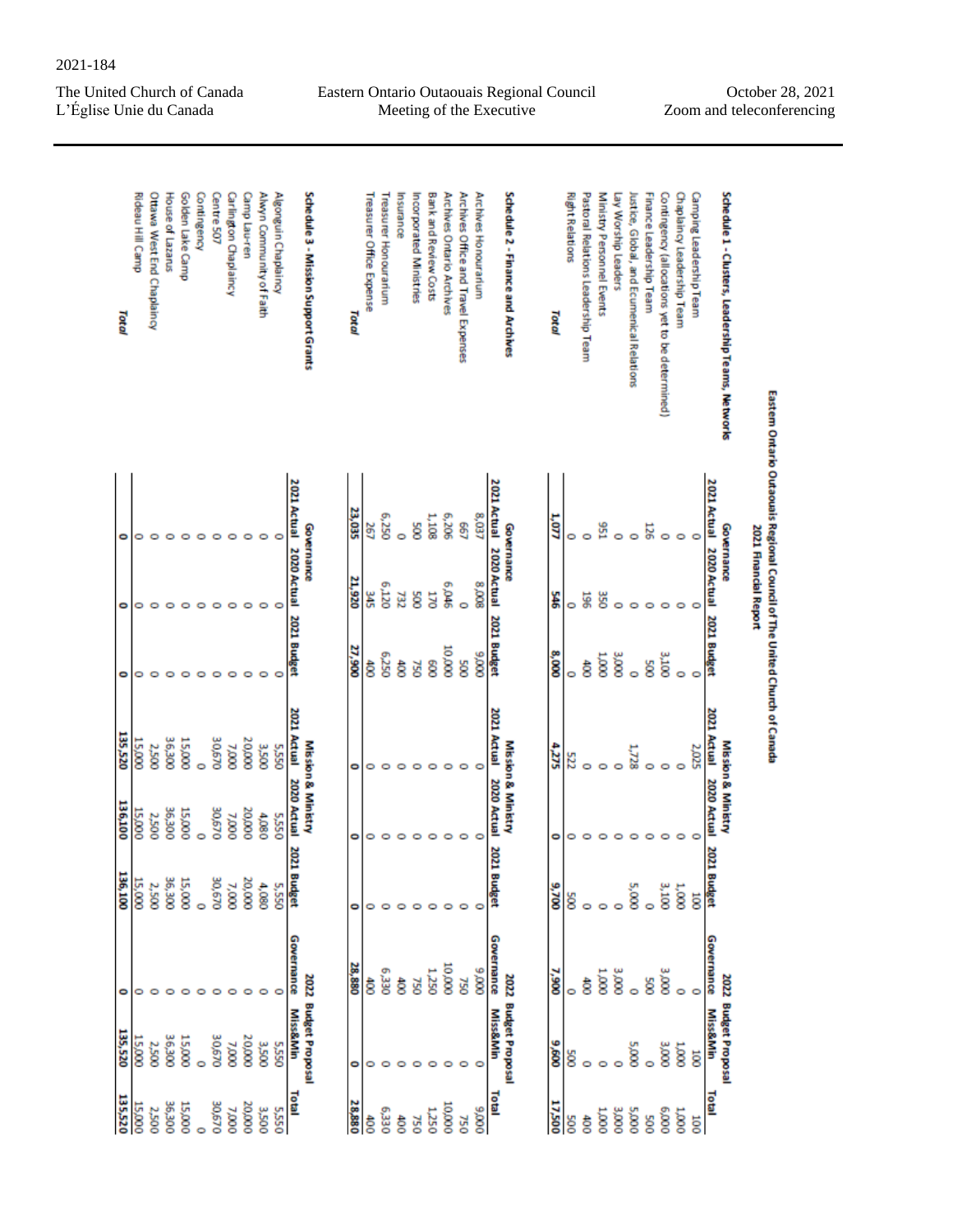Eastern Ontario Outaouais Regional Council Meeting of the Executive

October 28, 2021 Zoom and teleconferencing

| Schedule 1 - Clusters, Leadership Teams, Networks     | 2021 Actual<br>Governance           | 2020 Actual 2021 Budget |              | 2021 Actual                | Mission & Ministry<br>2020 Actual | 2021<br><b>Budget</b>          | Governance   | 2022 Budget Proposal<br><b>Miss&amp;Min</b> | Total          |
|-------------------------------------------------------|-------------------------------------|-------------------------|--------------|----------------------------|-----------------------------------|--------------------------------|--------------|---------------------------------------------|----------------|
| Camping Leadership Team<br>Chaplaincy Leadership Team | o                                   |                         | $\circ$<br>0 | 2,025                      | 0                                 | 1,000<br>$\overline{8}$        | o            | 0001<br>$\overline{8}$                      | 000'1<br>100   |
| Contingency (allocations yet to be determined)        | 0                                   |                         | <b>COT'E</b> |                            | $\circ$                           | 3,100                          | <b>3,000</b> | <b>COO'E</b>                                | 000'9          |
| Finance Leadership Team                               | 126                                 |                         | S8           |                            | $\circ$                           | ö                              | Soc          | ö                                           | 500            |
| lustice, Global, and Ecumenical Relations             | $\circ$                             |                         | ö            | 1,728                      | ۰                                 | 5,000                          | $\circ$      | 0005                                        | 5,000          |
| Lay Worship Leaders                                   | Ó                                   |                         | <b>COO'E</b> |                            | ۰                                 |                                | <b>3,000</b> |                                             | 3,000          |
| Ministry Personnel Events                             | 156                                 | š                       | 000'1        |                            | 0                                 |                                | 000'1        |                                             | 000T           |
| Pastoral Relations Leadership Team                    | $\circ$                             | 58                      | है           |                            | 0                                 |                                | है           |                                             |                |
| <b>RightRelations</b>                                 | 0                                   | ö                       | o            | 222                        | 0                                 | g                              |              | g                                           |                |
| Total                                                 | 1,077                               | 봏                       | 8,000        | 4,275                      | 0                                 | 9,700                          | 006'L        | 009'6                                       | 17,500         |
| Schedule 2 - Finance and Archives                     | <b>2021 Actual</b><br>Governance    | 2020 Actual             | 2021 Budget  | 2021 Actual                | Mission & Ministry<br>2020 Actual | 2021<br><b>Budget</b>          | Governance   | 2022 Budget Proposal<br><b>Miss&amp;Min</b> | Total          |
| Archives Honourarium                                  | 8,037                               | 8,008                   | 0006         |                            | O                                 | O                              | 0006         | o                                           | 0006           |
| Archives Office and Travel Expenses                   | 89                                  | $\circ$                 | ğ            |                            | $\circ$                           | 0                              | 750          | 0                                           |                |
| Archives Ontar io Archives                            | 6,206                               | 6,046                   | coo'or       |                            | ۰                                 | ۰                              | 000001       | 0                                           | 000001         |
| Bank and Review Costs                                 | 1,108                               | 170                     | g            |                            | o                                 | 0                              | <b>OSZ'T</b> | 0                                           | 1,250          |
| Incorporated Ministries                               | g                                   | g                       | <b>GZ</b>    |                            | 0                                 |                                | <b>GSZ</b>   |                                             |                |
| Insurance                                             | ö                                   | ÄΣ                      | ĝ            |                            | 0                                 |                                | है           |                                             |                |
| Treasurer Honourarium                                 | 6,250                               | OZT'9                   | 052'9        |                            | $\circ$                           |                                | 025.3        |                                             | 6,330          |
| Treasurer Office Expense                              | 567                                 | 뚦                       | ĝ            | 0                          | 0                                 | 0                              | है           |                                             |                |
| Total                                                 | 23,035                              | 21,920                  | 27,900       | ۰                          | ۰                                 | ۰                              | 28,880       | ۰                                           | 28,880         |
| Schedule 3 - Mission Support Grants                   | Governance                          |                         |              |                            | Mission & Ministry                |                                |              | 2022 Budget Proposal                        |                |
| Algonguin Chaplaincy                                  | 2021 Actual 2020 Actual 2021 Budget |                         | o            | 2021 Actual<br><b>SSSS</b> | 2020 Actual<br>5,550              | 2021<br><b>Budget</b><br>5,550 | Governance   | <b>Miss&amp;Min</b><br>5,550                | Total<br>5,550 |
| Alwyn Community of Faith                              |                                     |                         | $\circ$      | 3,500                      | 4,080                             | 4,080                          |              | 3,500                                       | 3500           |
| Camp Lau-ren                                          | o                                   |                         | ۰            | 20,000                     | 20,000                            | 20,000                         | O            | 20,000                                      | 20,000         |
| Carlington Chaplaincy                                 | o                                   |                         | ۰            | 000 <sub>L</sub>           | 7,000                             | 7,000                          | 0            | 000 <sub>L</sub>                            | 7,000          |
| Centre 507                                            | 0                                   |                         | 0            | 30,670                     | 30,670                            | 30,670                         | o            | 30,670                                      | 30,670         |
| Contingency                                           | o                                   |                         | o            |                            | ö                                 |                                |              | ö                                           |                |
| Golden Lake Camp                                      | o                                   |                         | $\circ$      | 15,000                     | 15,000                            | 15,000                         | o            | 15,000                                      | 15,000         |
|                                                       |                                     |                         | 0            | 36,300                     | 36,300                            | 36,300                         | C            | 36,300                                      | 36,300         |
|                                                       | e                                   |                         | 0            | 2,500                      | 2,500                             | 2,500                          | o            | 2,500                                       | 2,500          |
| House of Lazarus                                      | o                                   | o                       |              | 15,000                     | 15,000                            | 15,000                         | 0            | 15,000                                      | 15,000         |
| Rideau Hill Camp<br>Ottawa West End Chaplaincy        | o                                   | 0                       | 0            |                            |                                   |                                |              |                                             |                |

2021-184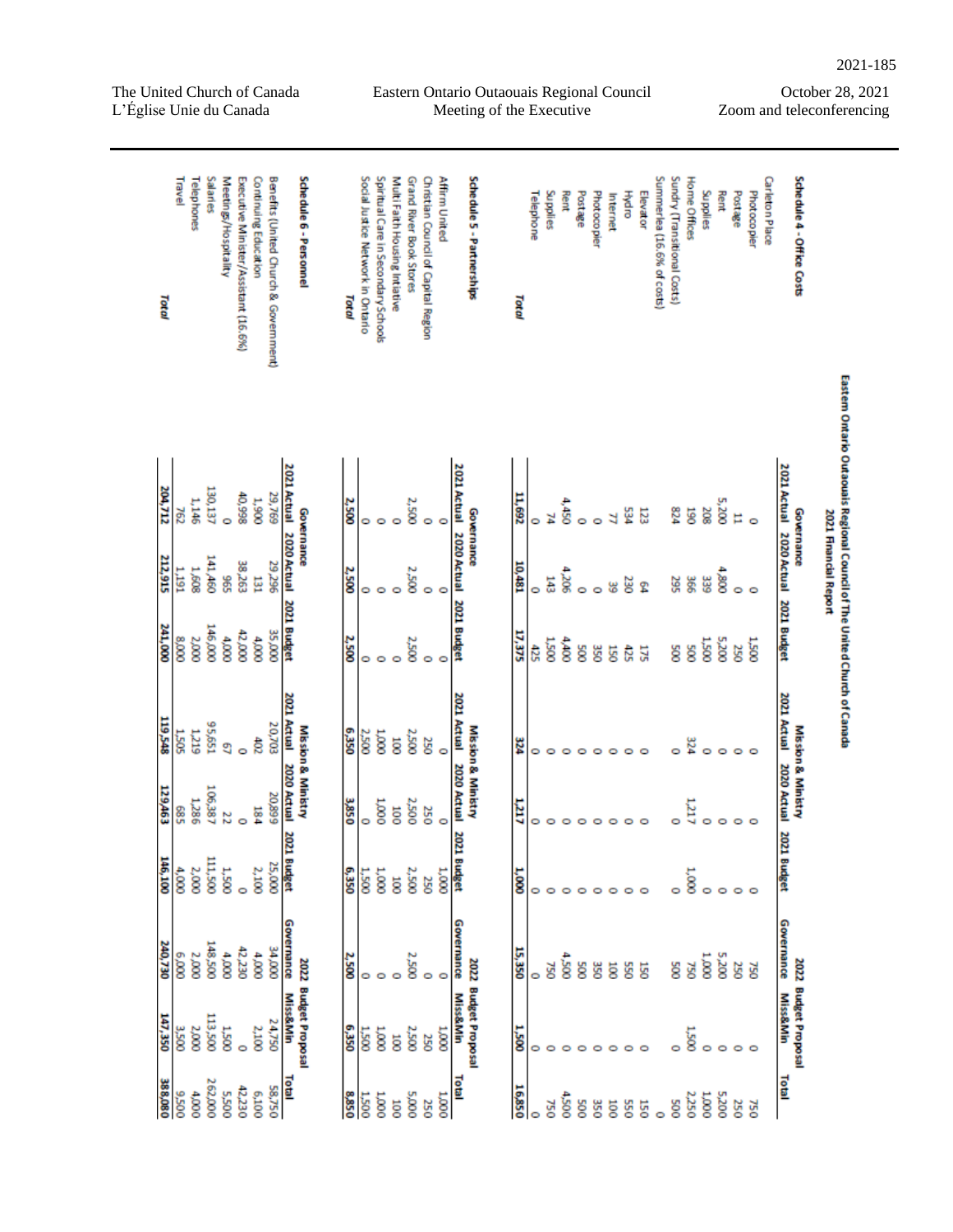| Total   | Travel        | Telephones  | Salaries        | Meetings/Hospitality | Executive Minister/Assistant (16.6%) | Continuing Education | Benefits (United Church & Government) |                         | Schedule 6 - Personnel | Total        | Social Justice Network in Ontario | Spiritual Care in Secondary Schools | Multi Faith Housing Intiative | Grand River Book Stores | Christian Council of Capital Region | Affirm United |                         | Schedule 5 - Partnerships | Total  | Telephone | Supplies     | Rent         | Postage    | Photocopier | Internet       | Hydro   | Elevator | Summerlea (16.6% of costs) | Sundry (Transitional Costs) | Home Offices | Supplies         | Rent    | Postage  | Photocopier | Carleton Place | Schedule 4 - Office Costs                   |                       |
|---------|---------------|-------------|-----------------|----------------------|--------------------------------------|----------------------|---------------------------------------|-------------------------|------------------------|--------------|-----------------------------------|-------------------------------------|-------------------------------|-------------------------|-------------------------------------|---------------|-------------------------|---------------------------|--------|-----------|--------------|--------------|------------|-------------|----------------|---------|----------|----------------------------|-----------------------------|--------------|------------------|---------|----------|-------------|----------------|---------------------------------------------|-----------------------|
| 204,712 | 2eZ           | 1,146       | 130,137         | ö                    | 40,998                               | 1,900                | 29,769                                | <b>2021 Actual</b>      |                        | 2,500        | 0                                 |                                     |                               | <b>2,500</b>            |                                     | ۰             | 2021 Actual             |                           | 11,692 |           | ¥            | 4,450        |            |             | ₹              | 534     | 123      |                            | 524                         | 5g           | 208              | 5,200   | E        |             |                | 2021 Actual                                 |                       |
| 212,915 | <b>IVSL.1</b> | 1,608       | 141,460         | \$65                 | 38,263                               | 뵵                    | 29,296                                | 2020 Actual 2021 Budget | Governance             | 2,500        | 0                                 | ۰                                   | $\circ$                       | <b>2,500</b>            | ۰                                   | ۰             | 2020 Actual 2021 Budget | Governance                | 10,481 | ۰         | 143          | 4,205        | Ó          | Ó           | 8              | 230     | ድ        |                            | 295                         | 366          | 339              | 4,800   | 0        |             |                | Governance<br>2020 Actual 2021 Budget       | 2021 Financial Report |
| 241,000 | 000'8         | 2,000       | <b>146,000</b>  | $\frac{1}{2}$        | 42,000                               | $\frac{4,0000}{2}$   | 35,000                                |                         |                        | 2,500        | 0                                 | ۰                                   | $\circ$                       | <b>COST</b>             | 0                                   | $\circ$       |                         |                           | 17,375 | 425       | <b>1.500</b> | 4,400        | SØ2        | š           | g              | 425     | 175      |                            | ğ                           | ğ            | 005'1            | 5,200   | <b>S</b> | i<br>1200   |                |                                             |                       |
| 119,548 | 1,505         | <b>PIZZ</b> | 199'56          | g                    | ŏ                                    | ਨੈ                   | 20,703                                | 2021 Actual             |                        | <b>OSE'9</b> | 2,500                             | 000'1                               | $\overline{8}$                | <b>2,500</b>            | 250                                 | ۰             | <b>2021 Actual</b>      |                           | 324    | 0         | 0            | o            | o          | o           | 0              | 0       | $\circ$  |                            | Ó                           | 324          | $\circ$          | $\circ$ | ۰        |             |                | 2021 Actual 2020 Actual                     |                       |
| 129,463 | 583           | 1,286       | 106,387         | 22                   | Ō                                    | 184                  | 20,899                                | 2020 Actual             | Mission & Ministry     | 3,850        | 0                                 | 000 <sub>1</sub>                    | ö                             | 2,500                   | 250                                 | $\circ$       | 2020 Actual             | Mission & Ministry        | Lπή    | 0         | 0            | o            | 0          | 0           | o              | $\circ$ | $\circ$  |                            | 0                           | <b>TZL7</b>  | ۰                | 0       | 0        |             |                | Mission & Ministry                          |                       |
| 146,100 | 4,000         | 2,000       | 111,500         | <b>1,500</b>         | ö                                    | 2,100                | 25,000                                | <b>2021 Budget</b>      |                        | 6,350        | 1,500                             | 1,000                               | $\overline{8}$                | 2,500                   | 250                                 | 1,000         | 2021 Budget             |                           | 1,000  |           |              |              |            |             | 0              | $\circ$ | $\circ$  |                            | Ó                           | 1,000        | $\circ$          | $\circ$ | ۰        |             |                | 2021 Budget                                 |                       |
| 240,730 | 6,000         | 2,000       | <b>T48,500</b>  | 000'                 | 42,230                               | 000'                 | 000'FE                                | Governance              |                        | 2,500        | 0                                 | ۰                                   | 0                             | <b>2,500</b>            | 0                                   | ۰             | Governance              |                           | 15,350 |           | ğζ           | 005't        | 8          | š           | ä              | S50     | 5g       |                            | ğ                           | <b>GSL</b>   | 000'1            | 002'S   | 250      | <b>GZ</b>   |                | Governance                                  |                       |
| 147,350 | 3,500         | 2,000       | <b>COS' ETT</b> | 005 <sup>-1</sup>    | Ó                                    | 2,100                | 24,750                                | <b>Miss&amp;Min</b>     | 2022 Budget Proposal   | 6,350        | 1500                              | 000'1                               | $\overline{8}$                | 2,500                   | 250                                 | 0001          | <b>Miss&amp;Min</b>     | 2022 Budget Proposal      | 3500   | c         |              |              |            | ⊝           | o              | $\circ$ | $\circ$  |                            |                             | <b>1.500</b> | 0                | 0       | 0        |             |                | 2022 Budget Proposal<br><b>Miss&amp;Min</b> |                       |
| 388,080 | 005'6         | 4,000       | 262,000         | 005'S                | 42,230                               | 6,100                | 58,750                                | <b>10tal</b>            |                        | 8,850        | 1,500                             | 000'T                               | 10O                           | 000'S                   | 250                                 | 1,000         | <b>Lasl</b>             |                           | 16,850 |           | 750          | <b>4,500</b> | <b>SOO</b> | 350         | $\overline{5}$ | 550     | 150      | $\circ$                    | SOO                         | 2,250        | 000 <sup>7</sup> | 5,200   | 250      | <b>054</b>  |                | Total                                       |                       |

Eastern Ontario Outaouais Regional Council Meeting of the Executive

#### October 28, 2021 Zoom and teleconferencing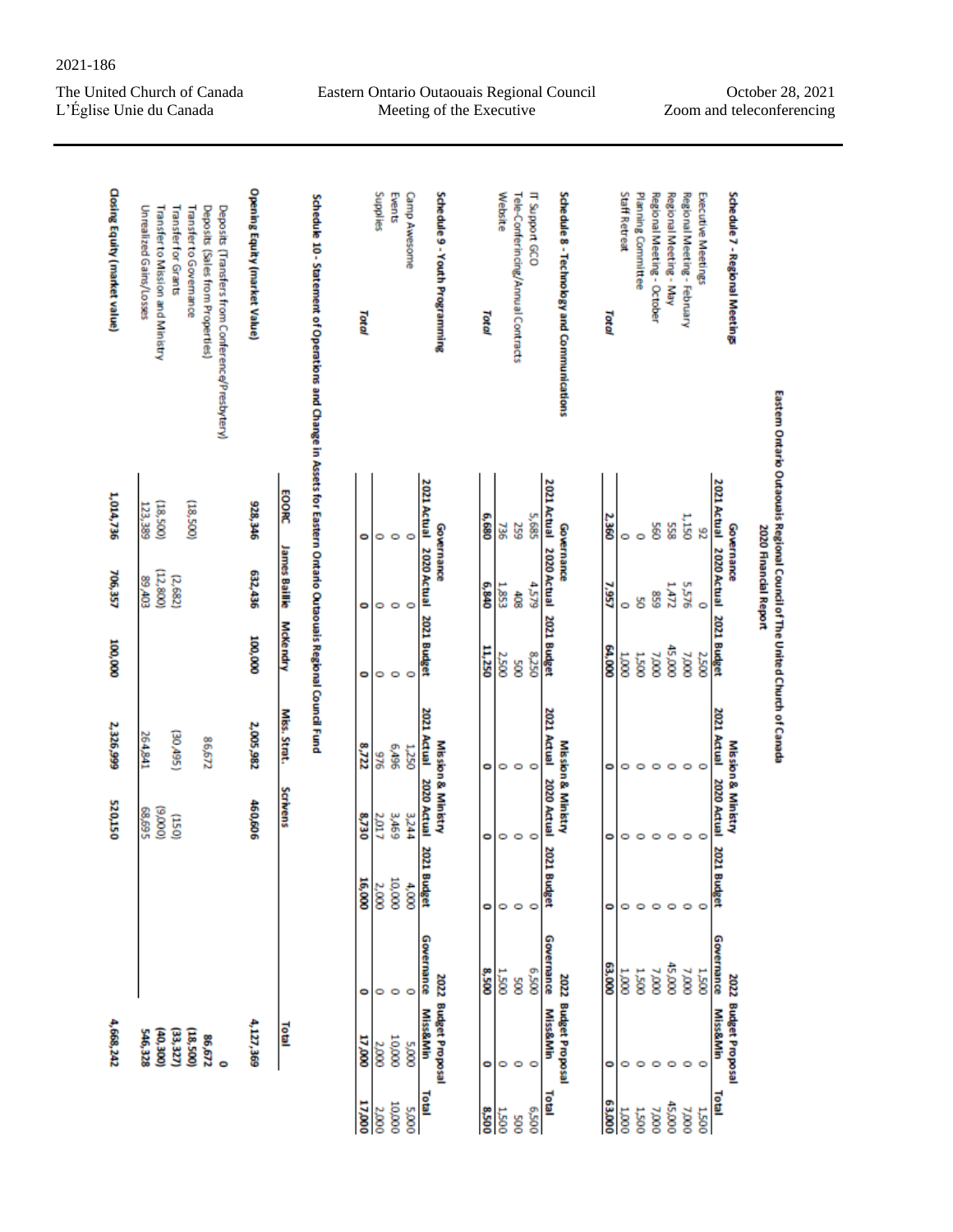Eastern Ontario Outaouais Regional Council Meeting of the Executive

October 28, 2021 Zoom and teleconferencing

| <b>Closing Equity (market value)</b> | Unrealized Gains/Losses<br>Transfer to Mission and Ministry<br>Transfer for Grants<br>Transfer to Governance<br>Deposits (Sales from Properties)<br>Deposits (Transfers from Conference/Presbytery) | Opening Equity (market Value)   | Schedule 10 - Statement of Operations and Change in Assets for Eastern Ontario Outaouais Regional Council Fund | Total  | Supplies | Events           | <b>Gamp Awesome</b>  | Schedule 9 - Youth Programming                    | Total        | Website      | Tele-Conferincing/Annual Contracts | IT Support GCO |                         | Schedule 8 - Technology and Communications | Total  | Staff Retreat | Planning Committee | Regional Meeting - October | Regional Meeting - May | Regional Meeting - February | Executive Meetings | Schedule 7 - Regional Meetings              |                                                                           |
|--------------------------------------|-----------------------------------------------------------------------------------------------------------------------------------------------------------------------------------------------------|---------------------------------|----------------------------------------------------------------------------------------------------------------|--------|----------|------------------|----------------------|---------------------------------------------------|--------------|--------------|------------------------------------|----------------|-------------------------|--------------------------------------------|--------|---------------|--------------------|----------------------------|------------------------|-----------------------------|--------------------|---------------------------------------------|---------------------------------------------------------------------------|
| 1,014,736                            | (18,500)<br>(18,500)<br>123,389                                                                                                                                                                     | <b>EOORC</b><br>928,346         |                                                                                                                | ۰      | 0        | $\circ$          | O                    | 2021 Actual 2020 Actual 2021 Budget<br>Governance | <b>6,680</b> | 736          | 259                                | 5,685          | 2021 Actual             | Governance                                 | 2,360  | 0             | $\circ$            | S6                         | 558                    | 1,150                       | 8                  | <b>2021 Actual</b><br>Governance            | Eastem Ontario Outaouais Regional Council of The Unite d Church of Canada |
| 706,357                              | (12,800)<br>(2,682)<br>EOtr'68                                                                                                                                                                      | <b>James Baillie</b><br>632,436 |                                                                                                                | 0      | 0        | $\circ$          | $\circ$              |                                                   | 6,840        | 1,853        | है                                 | 4,579          | 2020 Actual 2021 Budget |                                            | 7,957  | 0             | g                  | 638                        | 1.472                  | 5,576                       | $\circ$            | 2020 Actual 2021 Budget                     | 2020 Financial Report                                                     |
| 100,000                              |                                                                                                                                                                                                     | <b>McKendry</b><br>100,000      |                                                                                                                | 0      | 0        | $\circ$          | ۰                    |                                                   | 11,250       | 2,500        | ğ                                  | 8,250          |                         |                                            | 64,000 | 0001          | <b>1.500</b>       | 000'                       | 45,000                 | 000'                        | <b>2,500</b>       |                                             |                                                                           |
| 2,326,999                            | (S6t/0E)<br>264,841<br>86,672                                                                                                                                                                       | Miss. Strat.<br>2,005,982       |                                                                                                                | 2225   | 946      | 96b <sub>0</sub> | <b>1,250</b>         | 2021 Actual                                       | 0            | 0            | $\circ$                            | O              | 2021 Actual             |                                            | 0      | 0             | $\circ$            | $\circ$                    | ۰                      | $\circ$                     | O                  | 2021 Actual                                 |                                                                           |
| 520,150                              | (000'6)<br>68,695<br>(150)                                                                                                                                                                          | Scrivens<br>460,606             |                                                                                                                | 8,730  | 2,017    | 3,469            | 3,244                | Mission & Ministry<br>2020 Actual                 | ۰            | 0            | $\circ$                            | O              | 2020 Actual             | Mission & Ministry                         | ۰      | 0             | O                  | O                          | ۰                      | $\circ$                     | $\circ$            | Mission & Ministry<br>2020 Actual           |                                                                           |
|                                      |                                                                                                                                                                                                     |                                 |                                                                                                                | 16,000 | 2,000    | 10,000           | 2021 Budget<br>4,000 |                                                   | ۰            | 0            | $\circ$                            | $\circ$        | 2021 Budget             |                                            | ۰      | ۰             | $\circ$            | $\circ$                    | $\circ$                | $\circ$                     | ۰                  | 2021 Budget                                 |                                                                           |
|                                      |                                                                                                                                                                                                     |                                 |                                                                                                                | ۰      | 0        | O                | Governance<br>O      |                                                   | 8,500        | <b>1.500</b> | ğ                                  | 005'9          | Governance              |                                            | 63,000 | $\frac{1}{2}$ | 1,500              | 000 <sub>L</sub>           | 45,000                 | 000 <sub>L</sub>            | 005'T              | Governance                                  |                                                                           |
| 4,668,242                            | (006°00)<br>(33, 327)<br>(18,500)<br>546,328<br>86,672<br>$\ddot{\phantom{0}}$                                                                                                                      | 4,127,369<br>Total              |                                                                                                                | 000'LT | 2000     | 10,000           | 5,000                | 2022 Budget Proposal<br><b>Miss&amp;Min</b>       | ۰            | 0            | $\circ$                            |                | <b>Miss&amp;Min</b>     | 2022 Budget Proposal                       | ۰      | 0             | O                  | $\circ$                    | $\circ$                | O                           | O                  | 2022 Budget Proposal<br><b>Miss&amp;Min</b> |                                                                           |
|                                      |                                                                                                                                                                                                     |                                 |                                                                                                                | 17,000 | 2,000    | 10,000           | 5,000                | Total                                             | 005'8        | <b>DOS'T</b> | Soc                                | 005'9          | Total                   |                                            | 000'E9 | 10001         | <b>1,500</b>       | 7,000                      | 45,000                 | 000 <sub>L</sub>            | <b>1,500</b>       | Total                                       |                                                                           |

2021-186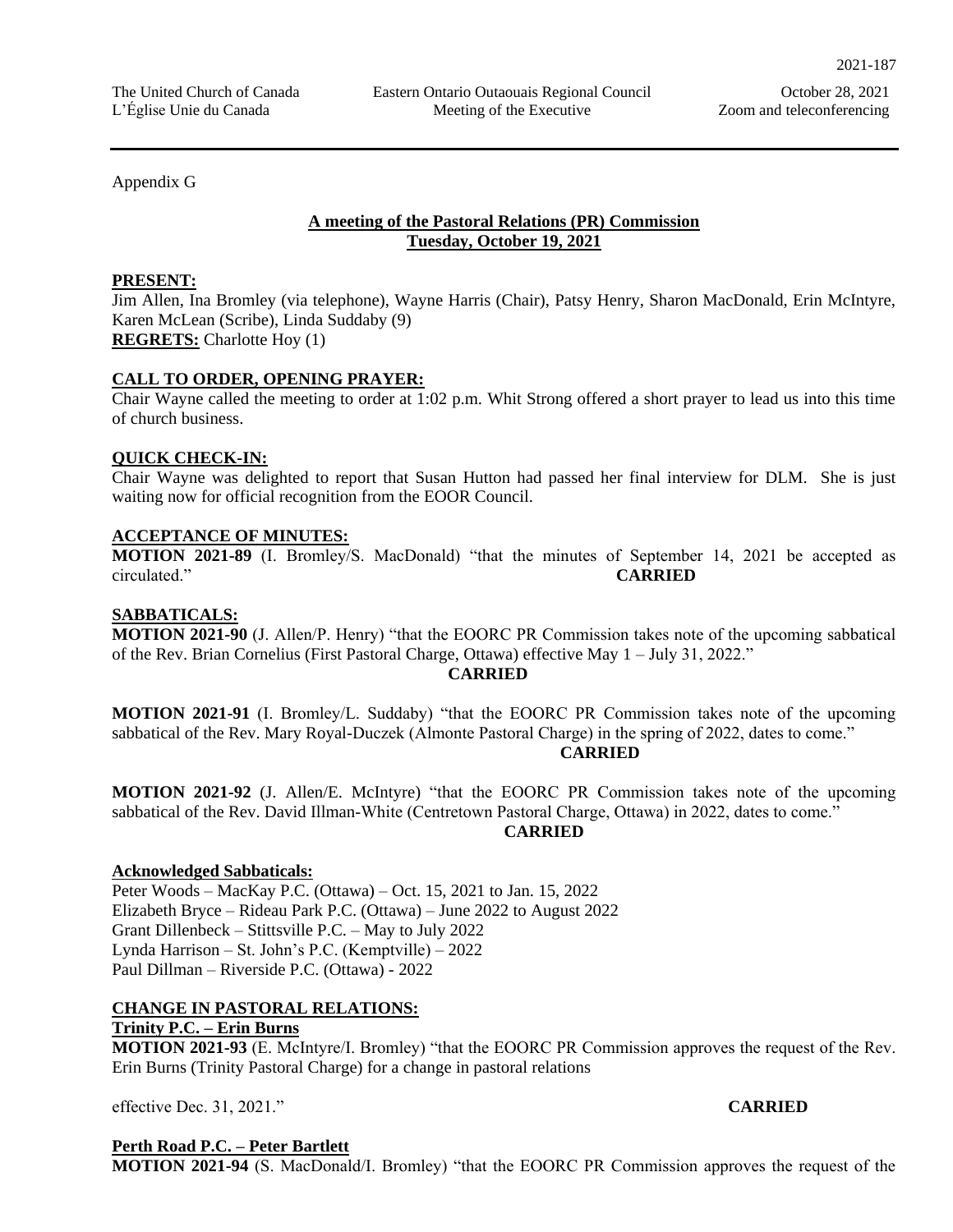Appendix G

## **A meeting of the Pastoral Relations (PR) Commission Tuesday, October 19, 2021**

#### **PRESENT:**

Jim Allen, Ina Bromley (via telephone), Wayne Harris (Chair), Patsy Henry, Sharon MacDonald, Erin McIntyre, Karen McLean (Scribe), Linda Suddaby (9) **REGRETS:** Charlotte Hoy (1)

## **CALL TO ORDER, OPENING PRAYER:**

Chair Wayne called the meeting to order at 1:02 p.m. Whit Strong offered a short prayer to lead us into this time of church business.

## **QUICK CHECK-IN:**

Chair Wayne was delighted to report that Susan Hutton had passed her final interview for DLM. She is just waiting now for official recognition from the EOOR Council.

## **ACCEPTANCE OF MINUTES:**

**MOTION 2021-89** (I. Bromley/S. MacDonald) "that the minutes of September 14, 2021 be accepted as circulated." **CARRIED**

## **SABBATICALS:**

**MOTION 2021-90** (J. Allen/P. Henry) "that the EOORC PR Commission takes note of the upcoming sabbatical of the Rev. Brian Cornelius (First Pastoral Charge, Ottawa) effective May 1 – July 31, 2022."

#### **CARRIED**

**MOTION 2021-91** (I. Bromley/L. Suddaby) "that the EOORC PR Commission takes note of the upcoming sabbatical of the Rev. Mary Royal-Duczek (Almonte Pastoral Charge) in the spring of 2022, dates to come."

#### **CARRIED**

**MOTION 2021-92** (J. Allen/E. McIntyre) "that the EOORC PR Commission takes note of the upcoming sabbatical of the Rev. David Illman-White (Centretown Pastoral Charge, Ottawa) in 2022, dates to come."

#### **CARRIED**

## **Acknowledged Sabbaticals:**

Peter Woods – MacKay P.C. (Ottawa) – Oct. 15, 2021 to Jan. 15, 2022 Elizabeth Bryce – Rideau Park P.C. (Ottawa) – June 2022 to August 2022 Grant Dillenbeck – Stittsville P.C. – May to July 2022 Lynda Harrison – St. John's P.C. (Kemptville) – 2022 Paul Dillman – Riverside P.C. (Ottawa) - 2022

## **CHANGE IN PASTORAL RELATIONS:**

# **Trinity P.C. – Erin Burns**

**MOTION 2021-93** (E. McIntyre/I. Bromley) "that the EOORC PR Commission approves the request of the Rev. Erin Burns (Trinity Pastoral Charge) for a change in pastoral relations

effective Dec. 31, 2021." **CARRIED**

# **Perth Road P.C. – Peter Bartlett**

**MOTION 2021-94** (S. MacDonald/I. Bromley) "that the EOORC PR Commission approves the request of the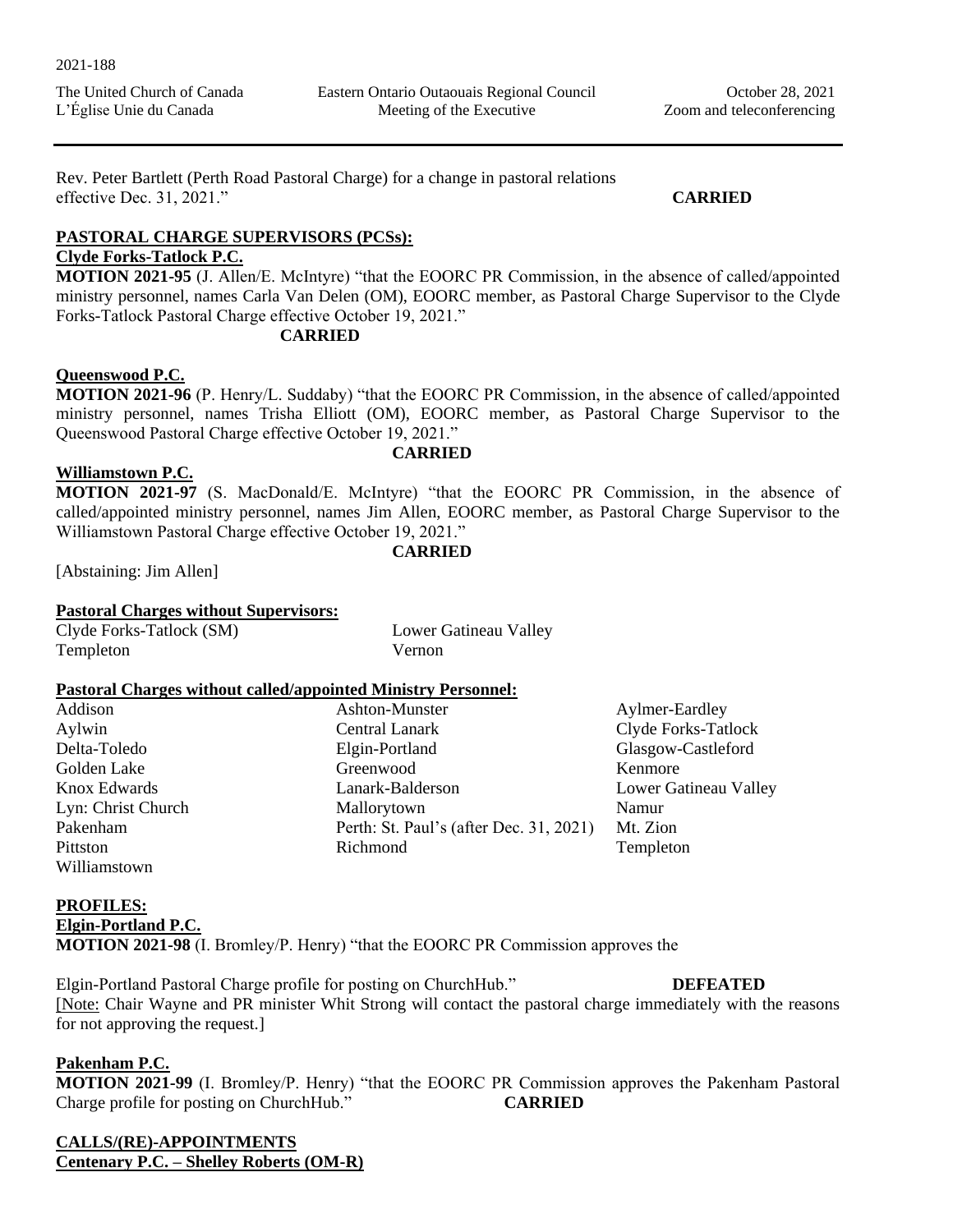Eastern Ontario Outaouais Regional Council Meeting of the Executive

Rev. Peter Bartlett (Perth Road Pastoral Charge) for a change in pastoral relations effective Dec. 31, 2021." **CARRIED**

## **PASTORAL CHARGE SUPERVISORS (PCSs):**

# **Clyde Forks-Tatlock P.C.**

**MOTION 2021-95** (J. Allen/E. McIntyre) "that the EOORC PR Commission, in the absence of called/appointed ministry personnel, names Carla Van Delen (OM), EOORC member, as Pastoral Charge Supervisor to the Clyde Forks-Tatlock Pastoral Charge effective October 19, 2021."

## **CARRIED**

## **Queenswood P.C.**

**MOTION 2021-96** (P. Henry/L. Suddaby) "that the EOORC PR Commission, in the absence of called/appointed ministry personnel, names Trisha Elliott (OM), EOORC member, as Pastoral Charge Supervisor to the Queenswood Pastoral Charge effective October 19, 2021."

## **CARRIED**

**CARRIED**

## **Williamstown P.C.**

**MOTION 2021-97** (S. MacDonald/E. McIntyre) "that the EOORC PR Commission, in the absence of called/appointed ministry personnel, names Jim Allen, EOORC member, as Pastoral Charge Supervisor to the Williamstown Pastoral Charge effective October 19, 2021."

[Abstaining: Jim Allen]

## **Pastoral Charges without Supervisors:**

| Clyde Forks-Tatlock (SM) | Lower  |
|--------------------------|--------|
| Templeton                | Vernon |

Lower Gatineau Valley

## **Pastoral Charges without called/appointed Ministry Personnel:**

| Addison            | Ashton-Munster                          | Aylmer-Eardley        |
|--------------------|-----------------------------------------|-----------------------|
|                    |                                         |                       |
| Aylwin             | <b>Central Lanark</b>                   | Clyde Forks-Tatlock   |
| Delta-Toledo       | Elgin-Portland                          | Glasgow-Castleford    |
| Golden Lake        | Greenwood                               | Kenmore               |
| Knox Edwards       | Lanark-Balderson                        | Lower Gatineau Valley |
| Lyn: Christ Church | Mallorytown                             | Namur                 |
| Pakenham           | Perth: St. Paul's (after Dec. 31, 2021) | Mt. Zion              |
| Pittston           | Richmond                                | Templeton             |
| Williamstown       |                                         |                       |

## **PROFILES:**

## **Elgin-Portland P.C.**

**MOTION 2021-98** (I. Bromley/P. Henry) "that the EOORC PR Commission approves the

Elgin-Portland Pastoral Charge profile for posting on ChurchHub." **DEFEATED** [Note: Chair Wayne and PR minister Whit Strong will contact the pastoral charge immediately with the reasons for not approving the request.]

## **Pakenham P.C.**

**MOTION 2021-99** (I. Bromley/P. Henry) "that the EOORC PR Commission approves the Pakenham Pastoral Charge profile for posting on ChurchHub." **CARRIED**

**CALLS/(RE)-APPOINTMENTS Centenary P.C. – Shelley Roberts (OM-R)**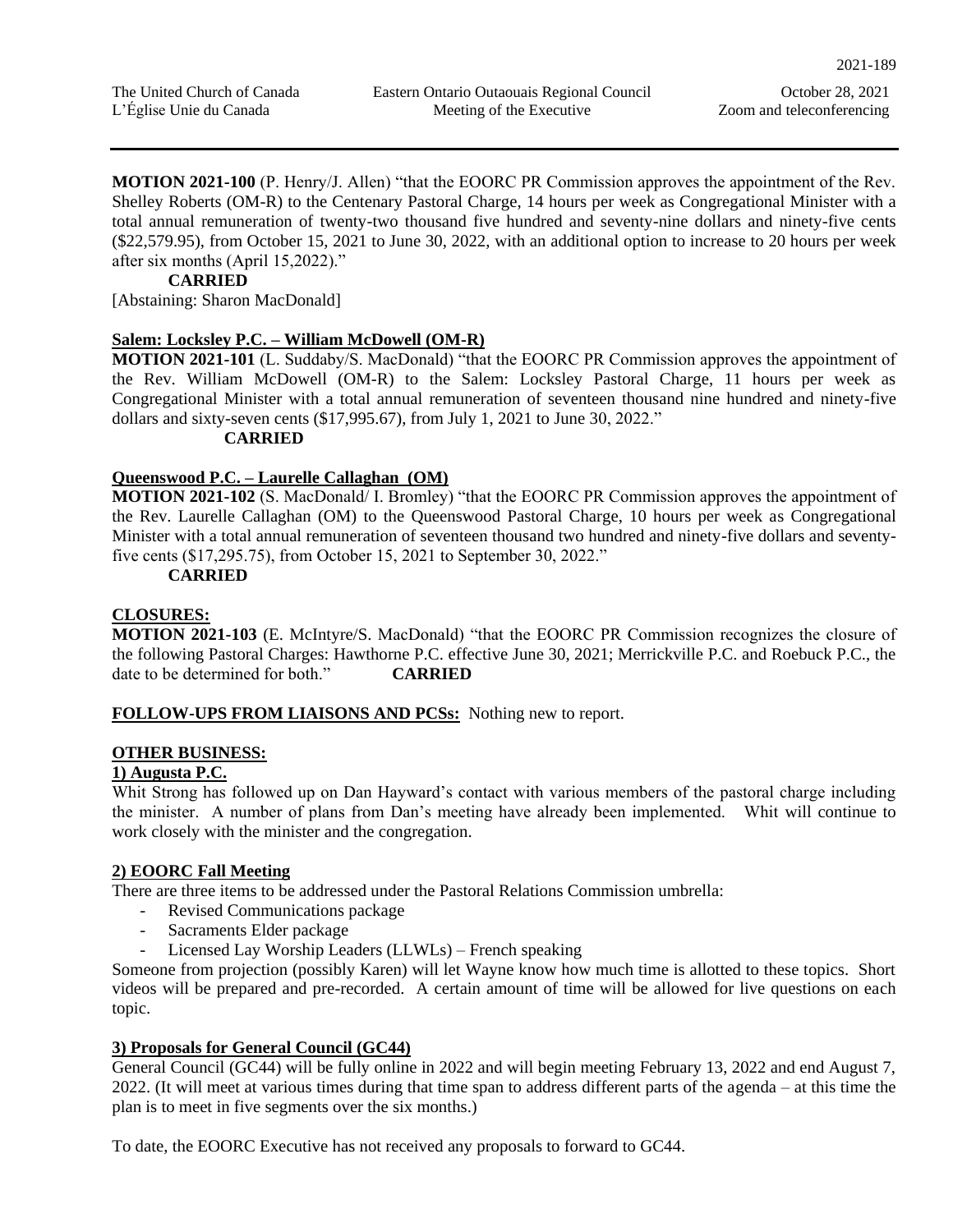Zoom and teleconferencing

**MOTION 2021-100** (P. Henry/J. Allen) "that the EOORC PR Commission approves the appointment of the Rev. Shelley Roberts (OM-R) to the Centenary Pastoral Charge, 14 hours per week as Congregational Minister with a total annual remuneration of twenty-two thousand five hundred and seventy-nine dollars and ninety-five cents (\$22,579.95), from October 15, 2021 to June 30, 2022, with an additional option to increase to 20 hours per week after six months (April 15,2022)."

#### **CARRIED**

[Abstaining: Sharon MacDonald]

## **Salem: Locksley P.C. – William McDowell (OM-R)**

**MOTION 2021-101** (L. Suddaby/S. MacDonald) "that the EOORC PR Commission approves the appointment of the Rev. William McDowell (OM-R) to the Salem: Locksley Pastoral Charge, 11 hours per week as Congregational Minister with a total annual remuneration of seventeen thousand nine hundred and ninety-five dollars and sixty-seven cents (\$17,995.67), from July 1, 2021 to June 30, 2022."

## **CARRIED**

## **Queenswood P.C. – Laurelle Callaghan (OM)**

**MOTION 2021-102** (S. MacDonald/ I. Bromley) "that the EOORC PR Commission approves the appointment of the Rev. Laurelle Callaghan (OM) to the Queenswood Pastoral Charge, 10 hours per week as Congregational Minister with a total annual remuneration of seventeen thousand two hundred and ninety-five dollars and seventyfive cents (\$17,295.75), from October 15, 2021 to September 30, 2022."

## **CARRIED**

## **CLOSURES:**

**MOTION 2021-103** (E. McIntyre/S. MacDonald) "that the EOORC PR Commission recognizes the closure of the following Pastoral Charges: Hawthorne P.C. effective June 30, 2021; Merrickville P.C. and Roebuck P.C., the date to be determined for both." **CARRIED**

## **FOLLOW-UPS FROM LIAISONS AND PCSs:** Nothing new to report.

## **OTHER BUSINESS:**

## **1) Augusta P.C.**

Whit Strong has followed up on Dan Hayward's contact with various members of the pastoral charge including the minister. A number of plans from Dan's meeting have already been implemented. Whit will continue to work closely with the minister and the congregation.

# **2) EOORC Fall Meeting**

There are three items to be addressed under the Pastoral Relations Commission umbrella:

- Revised Communications package
- Sacraments Elder package
- Licensed Lay Worship Leaders (LLWLs) French speaking

Someone from projection (possibly Karen) will let Wayne know how much time is allotted to these topics. Short videos will be prepared and pre-recorded. A certain amount of time will be allowed for live questions on each topic.

# **3) Proposals for General Council (GC44)**

General Council (GC44) will be fully online in 2022 and will begin meeting February 13, 2022 and end August 7, 2022. (It will meet at various times during that time span to address different parts of the agenda – at this time the plan is to meet in five segments over the six months.)

To date, the EOORC Executive has not received any proposals to forward to GC44.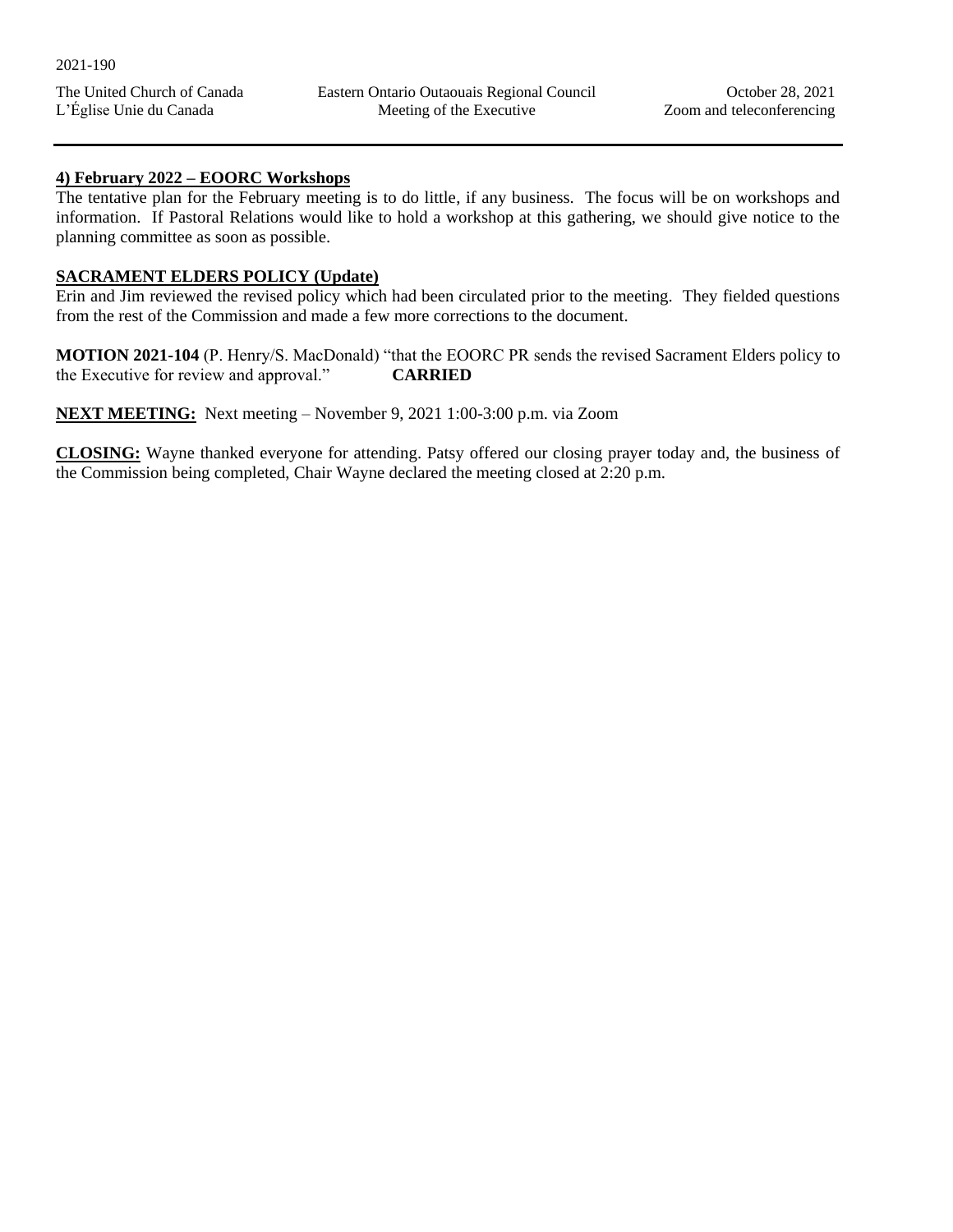#### **4) February 2022 – EOORC Workshops**

The tentative plan for the February meeting is to do little, if any business. The focus will be on workshops and information. If Pastoral Relations would like to hold a workshop at this gathering, we should give notice to the planning committee as soon as possible.

## **SACRAMENT ELDERS POLICY (Update)**

Erin and Jim reviewed the revised policy which had been circulated prior to the meeting. They fielded questions from the rest of the Commission and made a few more corrections to the document.

**MOTION 2021-104** (P. Henry/S. MacDonald) "that the EOORC PR sends the revised Sacrament Elders policy to the Executive for review and approval." **CARRIED**

**NEXT MEETING:** Next meeting – November 9, 2021 1:00-3:00 p.m. via Zoom

**CLOSING:** Wayne thanked everyone for attending. Patsy offered our closing prayer today and, the business of the Commission being completed, Chair Wayne declared the meeting closed at 2:20 p.m.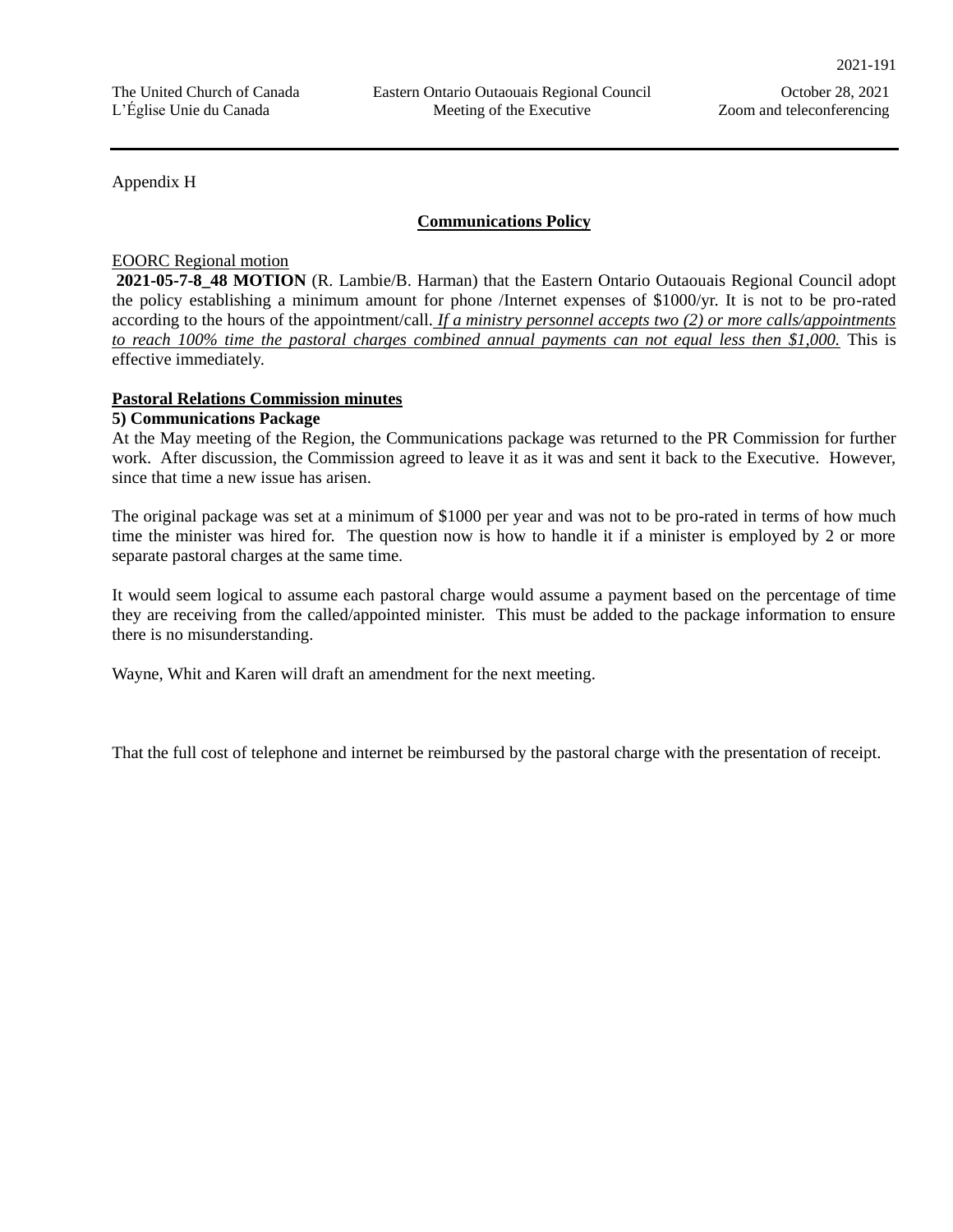Appendix H

## **Communications Policy**

#### EOORC Regional motion

**2021-05-7-8\_48 MOTION** (R. Lambie/B. Harman) that the Eastern Ontario Outaouais Regional Council adopt the policy establishing a minimum amount for phone /Internet expenses of \$1000/yr. It is not to be pro-rated according to the hours of the appointment/call. *If a ministry personnel accepts two (2) or more calls/appointments to reach 100% time the pastoral charges combined annual payments can not equal less then \$1,000.* This is effective immediately.

## **Pastoral Relations Commission minutes**

#### **5) Communications Package**

At the May meeting of the Region, the Communications package was returned to the PR Commission for further work. After discussion, the Commission agreed to leave it as it was and sent it back to the Executive. However, since that time a new issue has arisen.

The original package was set at a minimum of \$1000 per year and was not to be pro-rated in terms of how much time the minister was hired for. The question now is how to handle it if a minister is employed by 2 or more separate pastoral charges at the same time.

It would seem logical to assume each pastoral charge would assume a payment based on the percentage of time they are receiving from the called/appointed minister. This must be added to the package information to ensure there is no misunderstanding.

Wayne, Whit and Karen will draft an amendment for the next meeting.

That the full cost of telephone and internet be reimbursed by the pastoral charge with the presentation of receipt.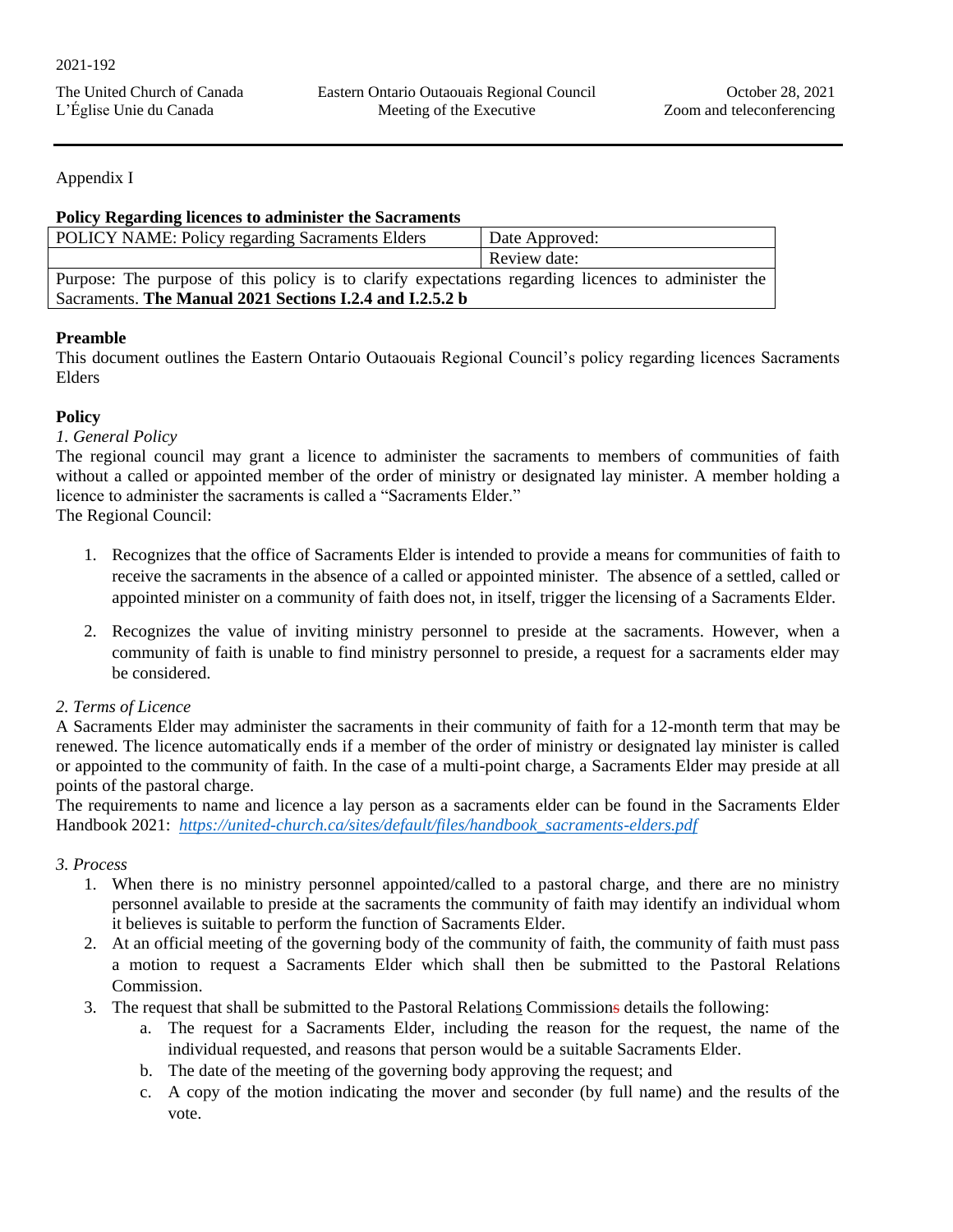| The United Church of Canada |  |
|-----------------------------|--|
| L'Église Unie du Canada     |  |

## Appendix I

## **Policy Regarding licences to administer the Sacraments**

| POLICY NAME: Policy regarding Sacraments Elders                                                     | Date Approved: |  |
|-----------------------------------------------------------------------------------------------------|----------------|--|
|                                                                                                     | Review date:   |  |
| Purpose: The purpose of this policy is to clarify expectations regarding licences to administer the |                |  |
| Sacraments. The Manual 2021 Sections I.2.4 and I.2.5.2 b                                            |                |  |

## **Preamble**

This document outlines the Eastern Ontario Outaouais Regional Council's policy regarding licences Sacraments Elders

## **Policy**

## *1. General Policy*

The regional council may grant a licence to administer the sacraments to members of communities of faith without a called or appointed member of the order of ministry or designated lay minister. A member holding a licence to administer the sacraments is called a "Sacraments Elder."

The Regional Council:

- 1. Recognizes that the office of Sacraments Elder is intended to provide a means for communities of faith to receive the sacraments in the absence of a called or appointed minister. The absence of a settled, called or appointed minister on a community of faith does not, in itself, trigger the licensing of a Sacraments Elder.
- 2. Recognizes the value of inviting ministry personnel to preside at the sacraments. However, when a community of faith is unable to find ministry personnel to preside, a request for a sacraments elder may be considered.

## *2. Terms of Licence*

A Sacraments Elder may administer the sacraments in their community of faith for a 12-month term that may be renewed. The licence automatically ends if a member of the order of ministry or designated lay minister is called or appointed to the community of faith. In the case of a multi-point charge, a Sacraments Elder may preside at all points of the pastoral charge.

The requirements to name and licence a lay person as a sacraments elder can be found in the Sacraments Elder Handbook 2021: *[https://united-church.ca/sites/default/files/handbook\\_sacraments-elders.pdf](about:blank)*

## *3. Process*

- 1. When there is no ministry personnel appointed/called to a pastoral charge, and there are no ministry personnel available to preside at the sacraments the community of faith may identify an individual whom it believes is suitable to perform the function of Sacraments Elder.
- 2. At an official meeting of the governing body of the community of faith, the community of faith must pass a motion to request a Sacraments Elder which shall then be submitted to the Pastoral Relations Commission.
- 3. The request that shall be submitted to the Pastoral Relations Commissions details the following:
	- a. The request for a Sacraments Elder, including the reason for the request, the name of the individual requested, and reasons that person would be a suitable Sacraments Elder.
	- b. The date of the meeting of the governing body approving the request; and
	- c. A copy of the motion indicating the mover and seconder (by full name) and the results of the vote.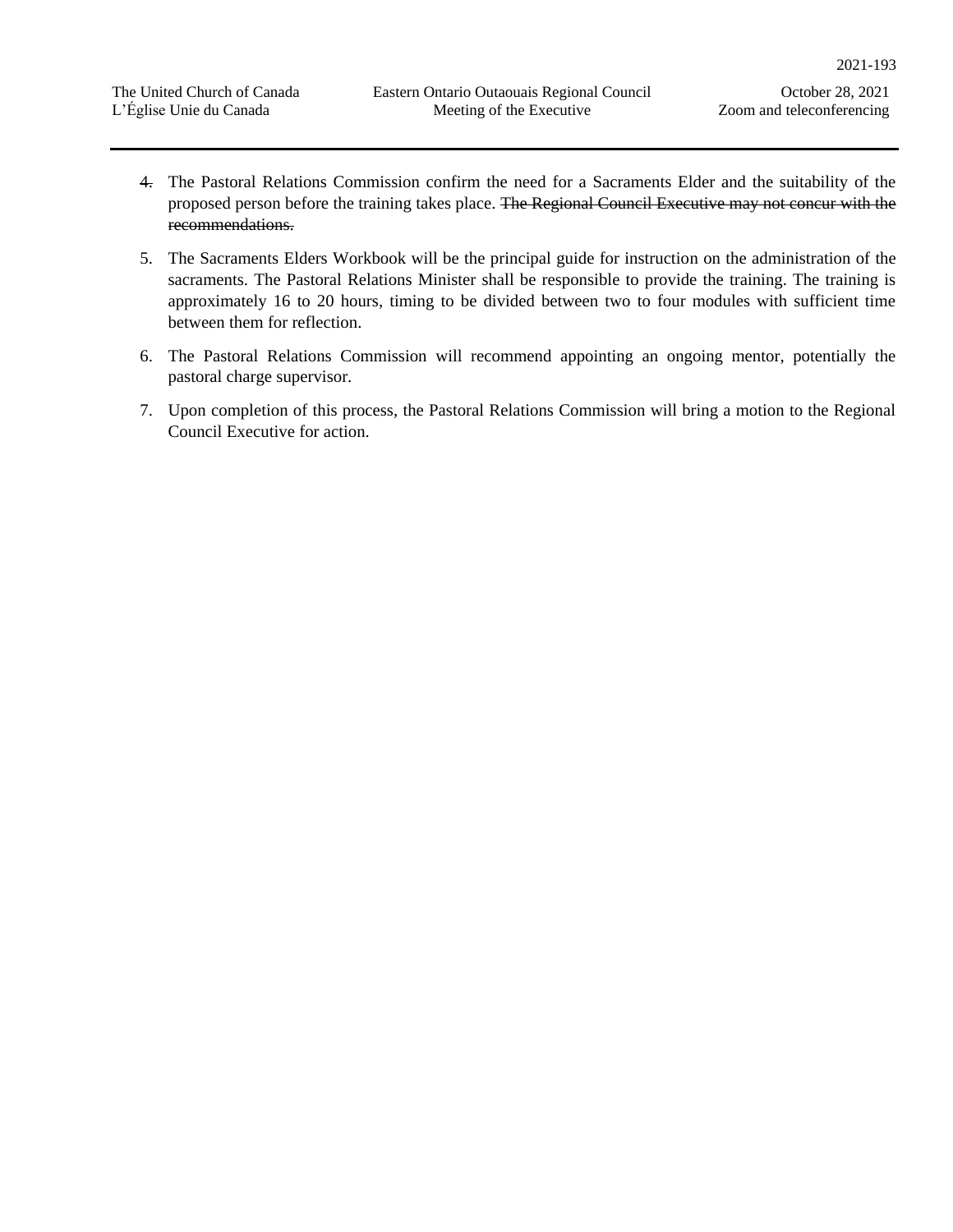- 4. The Pastoral Relations Commission confirm the need for a Sacraments Elder and the suitability of the proposed person before the training takes place. The Regional Council Executive may not concur with the recommendations.
- 5. The Sacraments Elders Workbook will be the principal guide for instruction on the administration of the sacraments. The Pastoral Relations Minister shall be responsible to provide the training. The training is approximately 16 to 20 hours, timing to be divided between two to four modules with sufficient time between them for reflection.
- 6. The Pastoral Relations Commission will recommend appointing an ongoing mentor, potentially the pastoral charge supervisor.
- 7. Upon completion of this process, the Pastoral Relations Commission will bring a motion to the Regional Council Executive for action.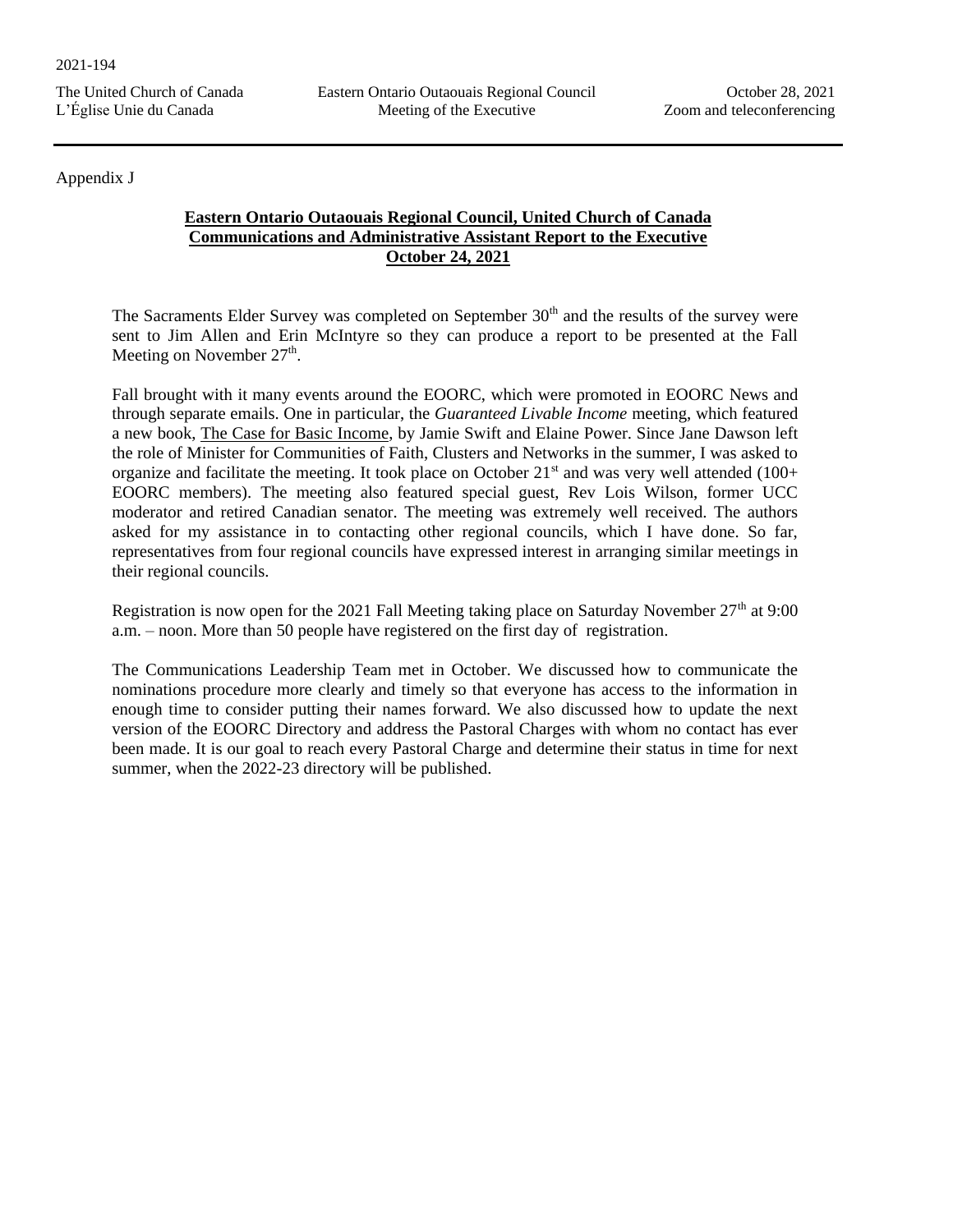## Appendix J

## **Eastern Ontario Outaouais Regional Council, United Church of Canada Communications and Administrative Assistant Report to the Executive October 24, 2021**

The Sacraments Elder Survey was completed on September 30<sup>th</sup> and the results of the survey were sent to Jim Allen and Erin McIntyre so they can produce a report to be presented at the Fall Meeting on November  $27<sup>th</sup>$ .

Fall brought with it many events around the EOORC, which were promoted in EOORC News and through separate emails. One in particular, the *Guaranteed Livable Income* meeting, which featured a new book, The Case for Basic Income, by Jamie Swift and Elaine Power. Since Jane Dawson left the role of Minister for Communities of Faith, Clusters and Networks in the summer, I was asked to organize and facilitate the meeting. It took place on October  $21<sup>st</sup>$  and was very well attended (100+ EOORC members). The meeting also featured special guest, Rev Lois Wilson, former UCC moderator and retired Canadian senator. The meeting was extremely well received. The authors asked for my assistance in to contacting other regional councils, which I have done. So far, representatives from four regional councils have expressed interest in arranging similar meetings in their regional councils.

Registration is now open for the 2021 Fall Meeting taking place on Saturday November  $27<sup>th</sup>$  at 9:00 a.m. – noon. More than 50 people have registered on the first day of registration.

The Communications Leadership Team met in October. We discussed how to communicate the nominations procedure more clearly and timely so that everyone has access to the information in enough time to consider putting their names forward. We also discussed how to update the next version of the EOORC Directory and address the Pastoral Charges with whom no contact has ever been made. It is our goal to reach every Pastoral Charge and determine their status in time for next summer, when the 2022-23 directory will be published.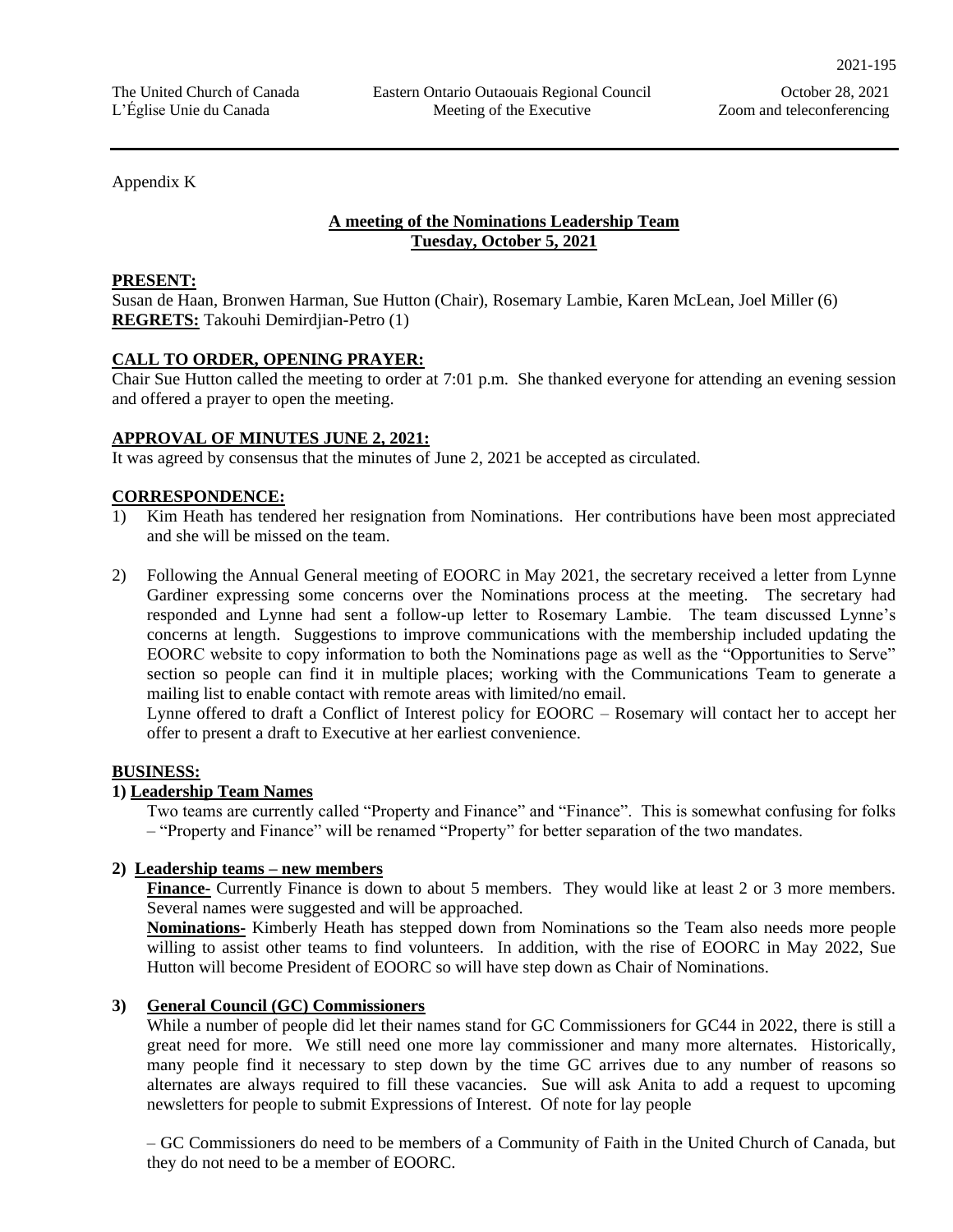Appendix K

## **A meeting of the Nominations Leadership Team Tuesday, October 5, 2021**

#### **PRESENT:**

Susan de Haan, Bronwen Harman, Sue Hutton (Chair), Rosemary Lambie, Karen McLean, Joel Miller (6) **REGRETS:** Takouhi Demirdjian-Petro (1)

## **CALL TO ORDER, OPENING PRAYER:**

Chair Sue Hutton called the meeting to order at 7:01 p.m. She thanked everyone for attending an evening session and offered a prayer to open the meeting.

## **APPROVAL OF MINUTES JUNE 2, 2021:**

It was agreed by consensus that the minutes of June 2, 2021 be accepted as circulated.

## **CORRESPONDENCE:**

- 1) Kim Heath has tendered her resignation from Nominations. Her contributions have been most appreciated and she will be missed on the team.
- 2) Following the Annual General meeting of EOORC in May 2021, the secretary received a letter from Lynne Gardiner expressing some concerns over the Nominations process at the meeting. The secretary had responded and Lynne had sent a follow-up letter to Rosemary Lambie. The team discussed Lynne's concerns at length. Suggestions to improve communications with the membership included updating the EOORC website to copy information to both the Nominations page as well as the "Opportunities to Serve" section so people can find it in multiple places; working with the Communications Team to generate a mailing list to enable contact with remote areas with limited/no email.

Lynne offered to draft a Conflict of Interest policy for EOORC – Rosemary will contact her to accept her offer to present a draft to Executive at her earliest convenience.

#### **BUSINESS:**

## **1) Leadership Team Names**

Two teams are currently called "Property and Finance" and "Finance". This is somewhat confusing for folks – "Property and Finance" will be renamed "Property" for better separation of the two mandates.

## **2) Leadership teams – new members**

**Finance-** Currently Finance is down to about 5 members. They would like at least 2 or 3 more members. Several names were suggested and will be approached.

**Nominations-** Kimberly Heath has stepped down from Nominations so the Team also needs more people willing to assist other teams to find volunteers. In addition, with the rise of EOORC in May 2022, Sue Hutton will become President of EOORC so will have step down as Chair of Nominations.

## **3) General Council (GC) Commissioners**

While a number of people did let their names stand for GC Commissioners for GC44 in 2022, there is still a great need for more. We still need one more lay commissioner and many more alternates. Historically, many people find it necessary to step down by the time GC arrives due to any number of reasons so alternates are always required to fill these vacancies. Sue will ask Anita to add a request to upcoming newsletters for people to submit Expressions of Interest. Of note for lay people

– GC Commissioners do need to be members of a Community of Faith in the United Church of Canada, but they do not need to be a member of EOORC.